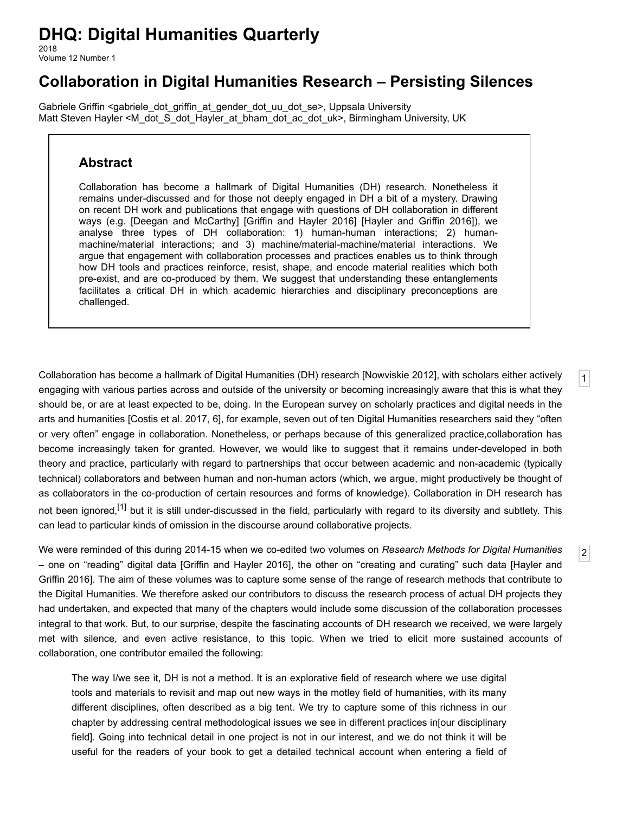# **DHQ: Digital Humanities Quarterly**

2018 Volume 12 Number 1

# **Collaboration in Digital Humanities Research – Persisting Silences**

[Gabriele Griffin](http://www.digitalhumanities.org/dhq/vol/12/1/bios.html#griffin_gabriele) [<gabriele\\_dot\\_griffin\\_at\\_gender\\_dot\\_uu\\_dot\\_se](mailto:gabriele_dot_griffin_at_gender_dot_uu_dot_se)>, Uppsala University [Matt Steven Hayler](http://www.digitalhumanities.org/dhq/vol/12/1/bios.html#hayler_matt_steven) <[M\\_dot\\_S\\_dot\\_Hayler\\_at\\_bham\\_dot\\_ac\\_dot\\_uk>](mailto:M_dot_S_dot_Hayler_at_bham_dot_ac_dot_uk), Birmingham University, UK

### **Abstract**

Collaboration has become a hallmark of Digital Humanities (DH) research. Nonetheless it remains under-discussed and for those not deeply engaged in DH a bit of a mystery. Drawing on recent DH work and publications that engage with questions of DH collaboration in different ways (e.g. [\[Deegan and McCarthy](#page-18-0)] [\[Griffin and Hayler 2016\]](#page-19-0) [[Hayler and Griffin 2016](#page-20-0)]), we analyse three types of DH collaboration: 1) human-human interactions; 2) humanmachine/material interactions; and 3) machine/material-machine/material interactions. We argue that engagement with collaboration processes and practices enables us to think through how DH tools and practices reinforce, resist, shape, and encode material realities which both pre-exist, and are co-produced by them. We suggest that understanding these entanglements facilitates a critical DH in which academic hierarchies and disciplinary preconceptions are challenged.

<span id="page-0-0"></span>Collaboration has become a hallmark of Digital Humanities (DH) research [\[Nowviskie 2012\]](#page-21-0), with scholars either actively engaging with various parties across and outside of the university or becoming increasingly aware that this is what they should be, or are at least expected to be, doing. In the European survey on scholarly practices and digital needs in the arts and humanities [\[Costis et al. 2017,](#page-18-1) 6], for example, seven out of ten Digital Humanities researchers said they "often or very often" engage in collaboration. Nonetheless, or perhaps because of this generalized practice,collaboration has become increasingly taken for granted. However, we would like to suggest that it remains under-developed in both theory and practice, particularly with regard to partnerships that occur between academic and non-academic (typically technical) collaborators and between human and non-human actors (which, we argue, might productively be thought of as collaborators in the co-production of certain resources and forms of knowledge). Collaboration in DH research has not been ignored,<sup>[1]</sup> but it is still under-discussed in the field, particularly with regard to its diversity and subtlety. This can lead to particular kinds of omission in the discourse around collaborative projects.

[1](#page-0-0)

[2](#page-0-1)

<span id="page-0-1"></span>We were reminded of this during 2014-15 when we co-edited two volumes on *Research Methods for Digital Humanities* [– one on "reading" digital data \[](#page-20-0)[Griffin and Hayler 2016](#page-19-0)[\], the other on "creating and curating" such data \[Hayler and](#page-20-0) Griffin 2016]. The aim of these volumes was to capture some sense of the range of research methods that contribute to the Digital Humanities. We therefore asked our contributors to discuss the research process of actual DH projects they had undertaken, and expected that many of the chapters would include some discussion of the collaboration processes integral to that work. But, to our surprise, despite the fascinating accounts of DH research we received, we were largely met with silence, and even active resistance, to this topic. When we tried to elicit more sustained accounts of collaboration, one contributor emailed the following:

The way I/we see it, DH is not a method. It is an explorative field of research where we use digital tools and materials to revisit and map out new ways in the motley field of humanities, with its many different disciplines, often described as a big tent. We try to capture some of this richness in our chapter by addressing central methodological issues we see in different practices in[our disciplinary field]. Going into technical detail in one project is not in our interest, and we do not think it will be useful for the readers of your book to get a detailed technical account when entering a field of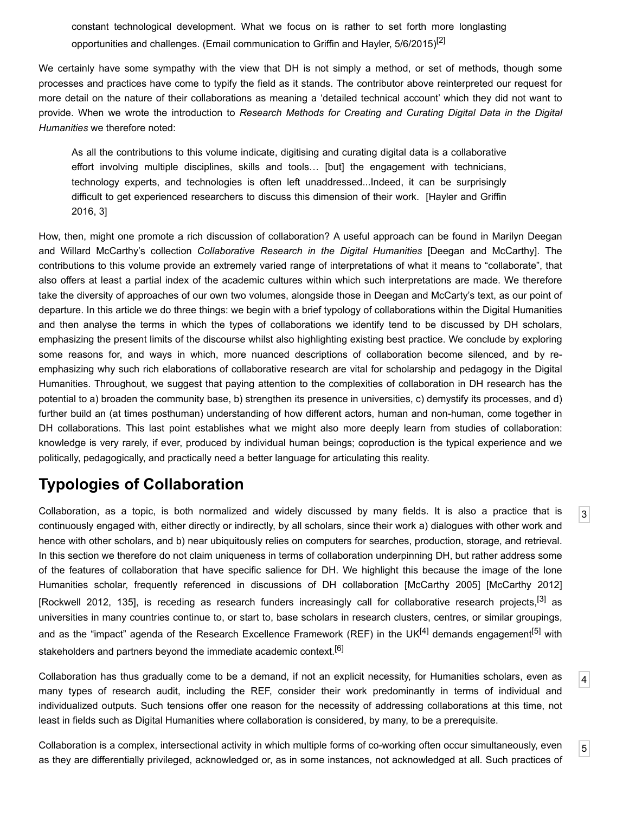constant technological development. What we focus on is rather to set forth more longlasting opportunities and challenges. (Email communication to Griffin and Hayler, 5/6/2015)<sup>[\[2\]](#page-17-1)</sup>

We certainly have some sympathy with the view that DH is not simply a method, or set of methods, though some processes and practices have come to typify the field as it stands. The contributor above reinterpreted our request for more detail on the nature of their collaborations as meaning a 'detailed technical account' which they did not want to provide. When we wrote the introduction to *Research Methods for Creating and Curating Digital Data in the Digital Humanities* we therefore noted:

As all the contributions to this volume indicate, digitising and curating digital data is a collaborative effort involving multiple disciplines, skills and tools… [but] the engagement with technicians, technology experts, and technologies is often left unaddressed...Indeed, it can be surprisingly [difficult to get experienced researchers to discuss this dimension of their work. \[Hayler and Griffin](#page-20-0) 2016, 3]

How, then, might one promote a rich discussion of collaboration? A useful approach can be found in Marilyn Deegan and Willard McCarthy's collection *Collaborative Research in the Digital Humanities* [\[Deegan and McCarthy](#page-18-0)]. The contributions to this volume provide an extremely varied range of interpretations of what it means to "collaborate", that also offers at least a partial index of the academic cultures within which such interpretations are made. We therefore take the diversity of approaches of our own two volumes, alongside those in Deegan and McCarty's text, as our point of departure. In this article we do three things: we begin with a brief typology of collaborations within the Digital Humanities and then analyse the terms in which the types of collaborations we identify tend to be discussed by DH scholars, emphasizing the present limits of the discourse whilst also highlighting existing best practice. We conclude by exploring some reasons for, and ways in which, more nuanced descriptions of collaboration become silenced, and by reemphasizing why such rich elaborations of collaborative research are vital for scholarship and pedagogy in the Digital Humanities. Throughout, we suggest that paying attention to the complexities of collaboration in DH research has the potential to a) broaden the community base, b) strengthen its presence in universities, c) demystify its processes, and d) further build an (at times posthuman) understanding of how different actors, human and non-human, come together in DH collaborations. This last point establishes what we might also more deeply learn from studies of collaboration: knowledge is very rarely, if ever, produced by individual human beings; coproduction is the typical experience and we politically, pedagogically, and practically need a better language for articulating this reality.

# **Typologies of Collaboration**

<span id="page-1-0"></span>Collaboration, as a topic, is both normalized and widely discussed by many fields. It is also a practice that is continuously engaged with, either directly or indirectly, by all scholars, since their work a) dialogues with other work and hence with other scholars, and b) near ubiquitously relies on computers for searches, production, storage, and retrieval. In this section we therefore do not claim uniqueness in terms of collaboration underpinning DH, but rather address some of the features of collaboration that have specific salience for DH. We highlight this because the image of the lone Humanities scholar, frequently referenced in discussions of DH collaboration [[McCarthy 2005](#page-20-1)] [\[McCarthy 2012\]](#page-20-2) [\[Rockwell 2012,](#page-21-1) 135], is receding as research funders increasingly call for collaborative research projects,<sup>[3]</sup> as universities in many countries continue to, or start to, base scholars in research clusters, centres, or similar groupings, and as the "impact" agenda of the Research Excellence Framework (REF) in the UK<sup>[4]</sup> demands engagement<sup>[5]</sup> with stakeholders and partners beyond the immediate academic context.<sup>[\[6\]](#page-17-5)</sup>

[3](#page-1-0)

[4](#page-1-1)

[5](#page-1-2)

<span id="page-1-1"></span>Collaboration has thus gradually come to be a demand, if not an explicit necessity, for Humanities scholars, even as many types of research audit, including the REF, consider their work predominantly in terms of individual and individualized outputs. Such tensions offer one reason for the necessity of addressing collaborations at this time, not least in fields such as Digital Humanities where collaboration is considered, by many, to be a prerequisite.

<span id="page-1-2"></span>Collaboration is a complex, intersectional activity in which multiple forms of co-working often occur simultaneously, even as they are differentially privileged, acknowledged or, as in some instances, not acknowledged at all. Such practices of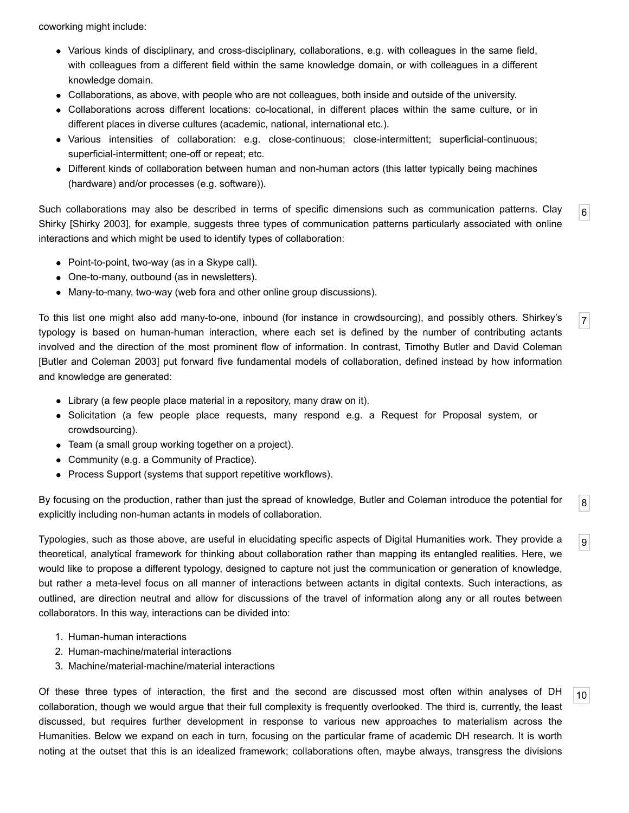coworking might include:

- Various kinds of disciplinary, and cross-disciplinary, collaborations, e.g. with colleagues in the same field, with colleagues from a different field within the same knowledge domain, or with colleagues in a different knowledge domain.
- Collaborations, as above, with people who are not colleagues, both inside and outside of the university.
- Collaborations across different locations: co-locational, in different places within the same culture, or in different places in diverse cultures (academic, national, international etc.).
- Various intensities of collaboration: e.g. close-continuous; close-intermittent; superficial-continuous; superficial-intermittent; one-off or repeat; etc.
- Different kinds of collaboration between human and non-human actors (this latter typically being machines (hardware) and/or processes (e.g. software)).

<span id="page-2-0"></span>[6](#page-2-0) Such collaborations may also be described in terms of specific dimensions such as communication patterns. Clay Shirky [[Shirky 2003](#page-21-2)], for example, suggests three types of communication patterns particularly associated with online interactions and which might be used to identify types of collaboration:

- Point-to-point, two-way (as in a Skype call).
- One-to-many, outbound (as in newsletters).
- Many-to-many, two-way (web fora and other online group discussions).

<span id="page-2-1"></span>To this list one might also add many-to-one, inbound (for instance in crowdsourcing), and possibly others. Shirkey's typology is based on human-human interaction, where each set is defined by the number of contributing actants involved and the direction of the most prominent flow of information. In contrast, Timothy Butler and David Coleman [\[Butler and Coleman 2003\]](#page-18-2) put forward five fundamental models of collaboration, defined instead by how information and knowledge are generated:

[7](#page-2-1)

[8](#page-2-2)

[9](#page-2-3)

[10](#page-2-4)

- Library (a few people place material in a repository, many draw on it).
- Solicitation (a few people place requests, many respond e.g. a Request for Proposal system, or crowdsourcing).
- Team (a small group working together on a project).
- Community (e.g. a Community of Practice).
- Process Support (systems that support repetitive workflows).

<span id="page-2-2"></span>By focusing on the production, rather than just the spread of knowledge, Butler and Coleman introduce the potential for explicitly including non-human actants in models of collaboration.

<span id="page-2-3"></span>Typologies, such as those above, are useful in elucidating specific aspects of Digital Humanities work. They provide a theoretical, analytical framework for thinking about collaboration rather than mapping its entangled realities. Here, we would like to propose a different typology, designed to capture not just the communication or generation of knowledge, but rather a meta-level focus on all manner of interactions between actants in digital contexts. Such interactions, as outlined, are direction neutral and allow for discussions of the travel of information along any or all routes between collaborators. In this way, interactions can be divided into:

- 1. Human-human interactions
- 2. Human-machine/material interactions
- 3. Machine/material-machine/material interactions

<span id="page-2-4"></span>Of these three types of interaction, the first and the second are discussed most often within analyses of DH collaboration, though we would argue that their full complexity is frequently overlooked. The third is, currently, the least discussed, but requires further development in response to various new approaches to materialism across the Humanities. Below we expand on each in turn, focusing on the particular frame of academic DH research. It is worth noting at the outset that this is an idealized framework; collaborations often, maybe always, transgress the divisions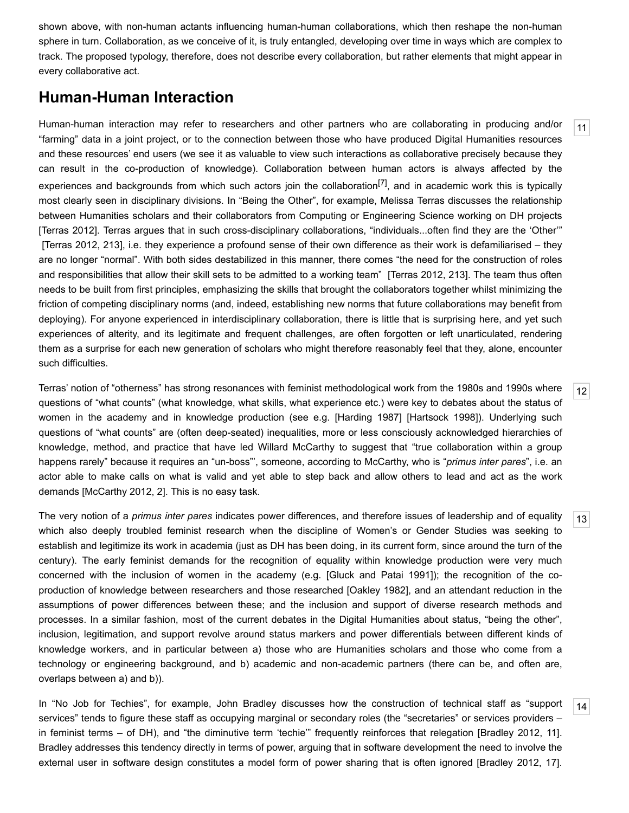shown above, with non-human actants influencing human-human collaborations, which then reshape the non-human sphere in turn. Collaboration, as we conceive of it, is truly entangled, developing over time in ways which are complex to track. The proposed typology, therefore, does not describe every collaboration, but rather elements that might appear in every collaborative act.

### **Human-Human Interaction**

<span id="page-3-0"></span>Human-human interaction may refer to researchers and other partners who are collaborating in producing and/or "farming" data in a joint project, or to the connection between those who have produced Digital Humanities resources and these resources' end users (we see it as valuable to view such interactions as collaborative precisely because they can result in the co-production of knowledge). Collaboration between human actors is always affected by the experiences and backgrounds from which such actors join the collaboration<sup>[7]</sup>, and in academic work this is typically most clearly seen in disciplinary divisions. In "Being the Other", for example, Melissa Terras discusses the relationship between Humanities scholars and their collaborators from Computing or Engineering Science working on DH projects [\[Terras 2012\]](#page-21-3). Terras argues that in such cross-disciplinary collaborations, "individuals...often find they are the 'Other'" [[Terras 2012,](#page-21-3) 213], i.e. they experience a profound sense of their own difference as their work is defamiliarised – they are no longer "normal". With both sides destabilized in this manner, there comes "the need for the construction of roles and responsibilities that allow their skill sets to be admitted to a working team" [\[Terras 2012](#page-21-3), 213]. The team thus often needs to be built from first principles, emphasizing the skills that brought the collaborators together whilst minimizing the friction of competing disciplinary norms (and, indeed, establishing new norms that future collaborations may benefit from deploying). For anyone experienced in interdisciplinary collaboration, there is little that is surprising here, and yet such experiences of alterity, and its legitimate and frequent challenges, are often forgotten or left unarticulated, rendering them as a surprise for each new generation of scholars who might therefore reasonably feel that they, alone, encounter such difficulties.

<span id="page-3-1"></span>Terras' notion of "otherness" has strong resonances with feminist methodological work from the 1980s and 1990s where questions of "what counts" (what knowledge, what skills, what experience etc.) were key to debates about the status of women in the academy and in knowledge production (see e.g. [[Harding 1987\]](#page-19-1) [[Hartsock 1998\]](#page-19-2)). Underlying such questions of "what counts" are (often deep-seated) inequalities, more or less consciously acknowledged hierarchies of knowledge, method, and practice that have led Willard McCarthy to suggest that "true collaboration within a group happens rarely" because it requires an "un-boss"', someone, according to McCarthy, who is "*primus inter pares*", i.e. an actor able to make calls on what is valid and yet able to step back and allow others to lead and act as the work demands [[McCarthy 2012,](#page-20-2) 2]. This is no easy task.

<span id="page-3-2"></span>The very notion of a *primus inter pares* indicates power differences, and therefore issues of leadership and of equality which also deeply troubled feminist research when the discipline of Women's or Gender Studies was seeking to establish and legitimize its work in academia (just as DH has been doing, in its current form, since around the turn of the century). The early feminist demands for the recognition of equality within knowledge production were very much concerned with the inclusion of women in the academy (e.g. [\[Gluck and Patai 1991](#page-19-3)]); the recognition of the coproduction of knowledge between researchers and those researched [\[Oakley 1982\]](#page-21-4), and an attendant reduction in the assumptions of power differences between these; and the inclusion and support of diverse research methods and processes. In a similar fashion, most of the current debates in the Digital Humanities about status, "being the other", inclusion, legitimation, and support revolve around status markers and power differentials between different kinds of knowledge workers, and in particular between a) those who are Humanities scholars and those who come from a technology or engineering background, and b) academic and non-academic partners (there can be, and often are, overlaps between a) and b)).

<span id="page-3-3"></span>In "No Job for Techies", for example, John Bradley discusses how the construction of technical staff as "support services" tends to figure these staff as occupying marginal or secondary roles (the "secretaries" or services providers – in feminist terms – of DH), and "the diminutive term 'techie'" frequently reinforces that relegation [[Bradley 2012,](#page-18-3) 11]. Bradley addresses this tendency directly in terms of power, arguing that in software development the need to involve the external user in software design constitutes a model form of power sharing that is often ignored [[Bradley 2012,](#page-18-3) 17].

[13](#page-3-2)

[14](#page-3-3)

[12](#page-3-1)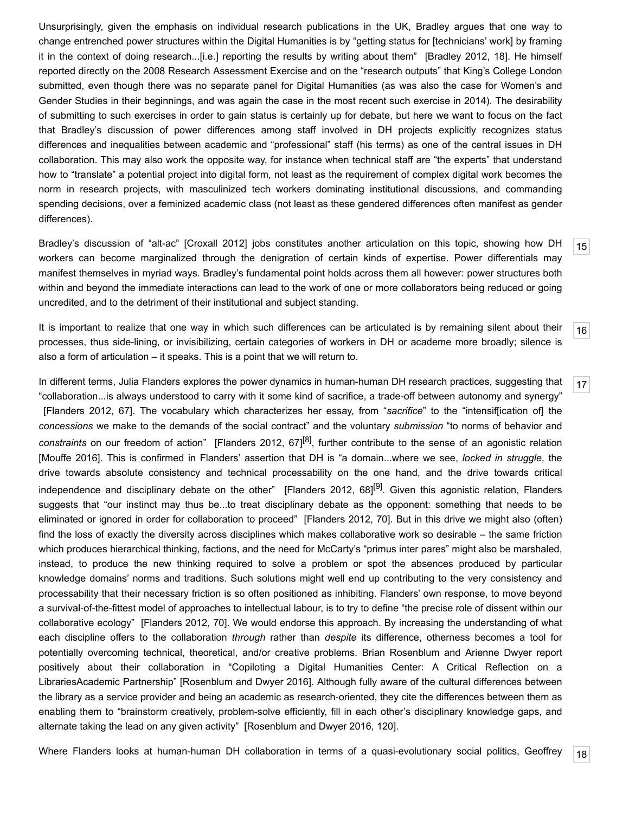Unsurprisingly, given the emphasis on individual research publications in the UK, Bradley argues that one way to change entrenched power structures within the Digital Humanities is by "getting status for [technicians' work] by framing it in the context of doing research...[i.e.] reporting the results by writing about them" [[Bradley 2012](#page-18-3), 18]. He himself reported directly on the 2008 Research Assessment Exercise and on the "research outputs" that King's College London submitted, even though there was no separate panel for Digital Humanities (as was also the case for Women's and Gender Studies in their beginnings, and was again the case in the most recent such exercise in 2014). The desirability of submitting to such exercises in order to gain status is certainly up for debate, but here we want to focus on the fact that Bradley's discussion of power differences among staff involved in DH projects explicitly recognizes status differences and inequalities between academic and "professional" staff (his terms) as one of the central issues in DH collaboration. This may also work the opposite way, for instance when technical staff are "the experts" that understand how to "translate" a potential project into digital form, not least as the requirement of complex digital work becomes the norm in research projects, with masculinized tech workers dominating institutional discussions, and commanding spending decisions, over a feminized academic class (not least as these gendered differences often manifest as gender differences).

<span id="page-4-0"></span>Bradley's discussion of "alt-ac" [[Croxall 2012](#page-18-4)] jobs constitutes another articulation on this topic, showing how DH workers can become marginalized through the denigration of certain kinds of expertise. Power differentials may manifest themselves in myriad ways. Bradley's fundamental point holds across them all however: power structures both within and beyond the immediate interactions can lead to the work of one or more collaborators being reduced or going uncredited, and to the detriment of their institutional and subject standing.

<span id="page-4-1"></span>It is important to realize that one way in which such differences can be articulated is by remaining silent about their processes, thus side-lining, or invisibilizing, certain categories of workers in DH or academe more broadly; silence is also a form of articulation – it speaks. This is a point that we will return to.

<span id="page-4-2"></span>In different terms, Julia Flanders explores the power dynamics in human-human DH research practices, suggesting that "collaboration...is always understood to carry with it some kind of sacrifice, a trade-off between autonomy and synergy" [\[Flanders 2012](#page-19-4), 67]. The vocabulary which characterizes her essay, from "*sacrifice*" to the "intensif[ication of] the *concessions* we make to the demands of the social contract" and the voluntary *submission* "to norms of behavior and *constraints* on our freedom of action" [[Flanders 2012](#page-19-4), 67][\[8\]](#page-17-7), further contribute to the sense of an agonistic relation [\[Mouffe 2016\]](#page-21-5). This is confirmed in Flanders' assertion that DH is "a domain...where we see, *locked in struggle*, the drive towards absolute consistency and technical processability on the one hand, and the drive towards critical independence and disciplinary debate on the other" [[Flanders 2012,](#page-19-4) 68]<sup>[\[9\]](#page-17-8)</sup>. Given this agonistic relation, Flanders suggests that "our instinct may thus be...to treat disciplinary debate as the opponent: something that needs to be eliminated or ignored in order for collaboration to proceed" [[Flanders 2012,](#page-19-4) 70]. But in this drive we might also (often) find the loss of exactly the diversity across disciplines which makes collaborative work so desirable – the same friction which produces hierarchical thinking, factions, and the need for McCarty's "primus inter pares" might also be marshaled, instead, to produce the new thinking required to solve a problem or spot the absences produced by particular knowledge domains' norms and traditions. Such solutions might well end up contributing to the very consistency and processability that their necessary friction is so often positioned as inhibiting. Flanders' own response, to move beyond a survival-of-the-fittest model of approaches to intellectual labour, is to try to define "the precise role of dissent within our collaborative ecology" [\[Flanders 2012,](#page-19-4) 70]. We would endorse this approach. By increasing the understanding of what each discipline offers to the collaboration *through* rather than *despite* its difference, otherness becomes a tool for potentially overcoming technical, theoretical, and/or creative problems. Brian Rosenblum and Arienne Dwyer report positively about their collaboration in "Copiloting a Digital Humanities Center: A Critical Reflection on a LibrariesAcademic Partnership" [[Rosenblum and Dwyer 2016](#page-21-6)]. Although fully aware of the cultural differences between the library as a service provider and being an academic as research-oriented, they cite the differences between them as enabling them to "brainstorm creatively, problem-solve efficiently, fill in each other's disciplinary knowledge gaps, and alternate taking the lead on any given activity" [\[Rosenblum and Dwyer 2016,](#page-21-6) 120].

<span id="page-4-3"></span>[18](#page-4-3) Where Flanders looks at human-human DH collaboration in terms of a quasi-evolutionary social politics, Geoffrey

[15](#page-4-0)

[16](#page-4-1)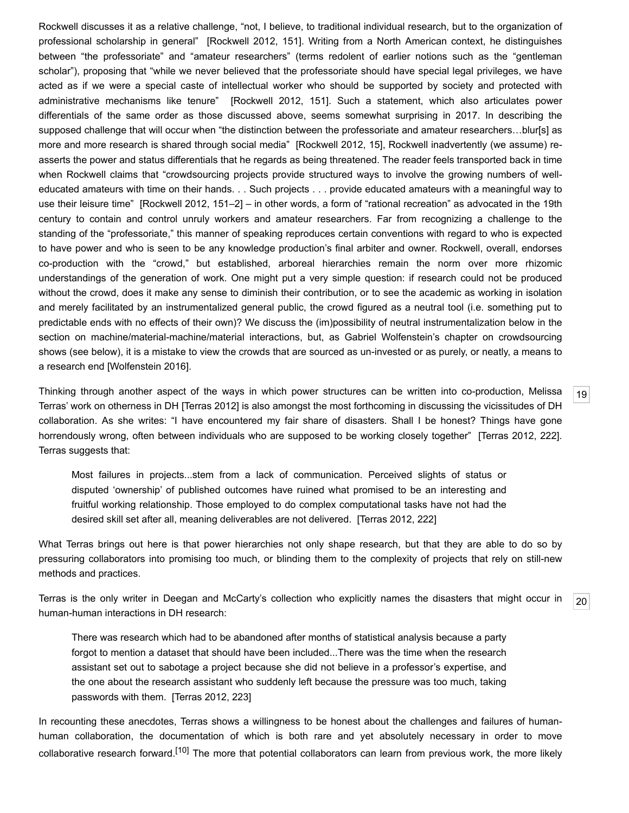Rockwell discusses it as a relative challenge, "not, I believe, to traditional individual research, but to the organization of professional scholarship in general" [\[Rockwell 2012](#page-21-1), 151]. Writing from a North American context, he distinguishes between "the professoriate" and "amateur researchers" (terms redolent of earlier notions such as the "gentleman scholar"), proposing that "while we never believed that the professoriate should have special legal privileges, we have acted as if we were a special caste of intellectual worker who should be supported by society and protected with administrative mechanisms like tenure" [\[Rockwell 2012,](#page-21-1) 151]. Such a statement, which also articulates power differentials of the same order as those discussed above, seems somewhat surprising in 2017. In describing the supposed challenge that will occur when "the distinction between the professoriate and amateur researchers...blur[s] as more and more research is shared through social media" [[Rockwell 2012,](#page-21-1) 15], Rockwell inadvertently (we assume) reasserts the power and status differentials that he regards as being threatened. The reader feels transported back in time when Rockwell claims that "crowdsourcing projects provide structured ways to involve the growing numbers of welleducated amateurs with time on their hands. . . Such projects . . . provide educated amateurs with a meaningful way to use their leisure time" [[Rockwell 2012](#page-21-1), 151–2] – in other words, a form of "rational recreation" as advocated in the 19th century to contain and control unruly workers and amateur researchers. Far from recognizing a challenge to the standing of the "professoriate," this manner of speaking reproduces certain conventions with regard to who is expected to have power and who is seen to be any knowledge production's final arbiter and owner. Rockwell, overall, endorses co-production with the "crowd," but established, arboreal hierarchies remain the norm over more rhizomic understandings of the generation of work. One might put a very simple question: if research could not be produced without the crowd, does it make any sense to diminish their contribution, or to see the academic as working in isolation and merely facilitated by an instrumentalized general public, the crowd figured as a neutral tool (i.e. something put to predictable ends with no effects of their own)? We discuss the (im)possibility of neutral instrumentalization below in the section on machine/material-machine/material interactions, but, as Gabriel Wolfenstein's chapter on crowdsourcing shows (see below), it is a mistake to view the crowds that are sourced as un-invested or as purely, or neatly, a means to a research end [\[Wolfenstein 2016](#page-21-7)].

<span id="page-5-0"></span>Thinking through another aspect of the ways in which power structures can be written into co-production, Melissa Terras' work on otherness in DH [\[Terras 2012](#page-21-3)] is also amongst the most forthcoming in discussing the vicissitudes of DH collaboration. As she writes: "I have encountered my fair share of disasters. Shall I be honest? Things have gone horrendously wrong, often between individuals who are supposed to be working closely together" [\[Terras 2012,](#page-21-3) 222]. Terras suggests that:

Most failures in projects...stem from a lack of communication. Perceived slights of status or disputed 'ownership' of published outcomes have ruined what promised to be an interesting and fruitful working relationship. Those employed to do complex computational tasks have not had the desired skill set after all, meaning deliverables are not delivered. [\[Terras 2012](#page-21-3), 222]

What Terras brings out here is that power hierarchies not only shape research, but that they are able to do so by pressuring collaborators into promising too much, or blinding them to the complexity of projects that rely on still-new methods and practices.

<span id="page-5-1"></span>[20](#page-5-1) Terras is the only writer in Deegan and McCarty's collection who explicitly names the disasters that might occur in human-human interactions in DH research:

There was research which had to be abandoned after months of statistical analysis because a party forgot to mention a dataset that should have been included...There was the time when the research assistant set out to sabotage a project because she did not believe in a professor's expertise, and the one about the research assistant who suddenly left because the pressure was too much, taking passwords with them. [\[Terras 2012,](#page-21-3) 223]

In recounting these anecdotes, Terras shows a willingness to be honest about the challenges and failures of humanhuman collaboration, the documentation of which is both rare and yet absolutely necessary in order to move collaborative research forward.<sup>[\[10\]](#page-17-9)</sup> The more that potential collaborators can learn from previous work, the more likely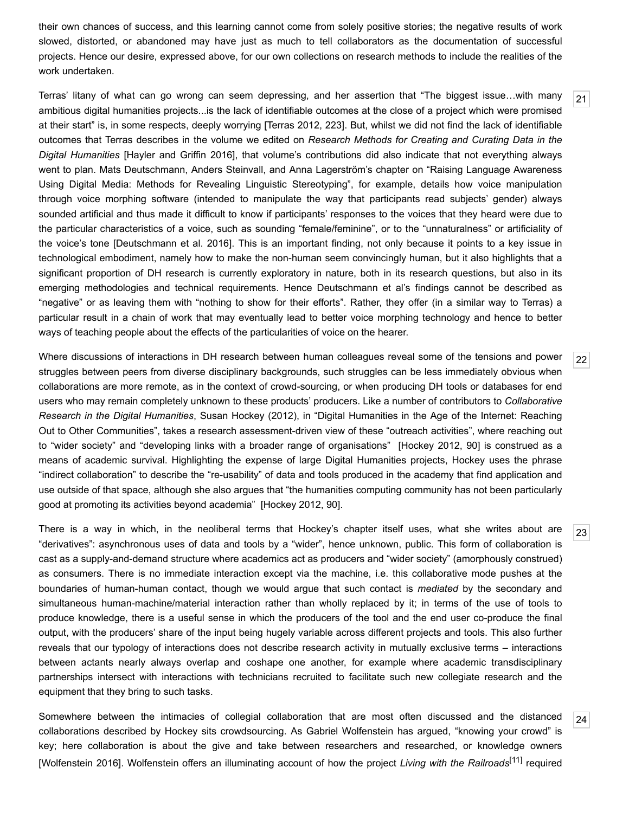their own chances of success, and this learning cannot come from solely positive stories; the negative results of work slowed, distorted, or abandoned may have just as much to tell collaborators as the documentation of successful projects. Hence our desire, expressed above, for our own collections on research methods to include the realities of the work undertaken.

<span id="page-6-0"></span>Terras' litany of what can go wrong can seem depressing, and her assertion that "The biggest issue…with many ambitious digital humanities projects...is the lack of identifiable outcomes at the close of a project which were promised at their start" is, in some respects, deeply worrying [\[Terras 2012](#page-21-3), 223]. But, whilst we did not find the lack of identifiable outcomes that Terras describes in the volume we edited on *Research Methods for Creating and Curating Data in the Digital Humanities* [\[Hayler and Griffin 2016](#page-20-0)], that volume's contributions did also indicate that not everything always went to plan. Mats Deutschmann, Anders Steinvall, and Anna Lagerström's chapter on "Raising Language Awareness Using Digital Media: Methods for Revealing Linguistic Stereotyping", for example, details how voice manipulation through voice morphing software (intended to manipulate the way that participants read subjects' gender) always sounded artificial and thus made it difficult to know if participants' responses to the voices that they heard were due to the particular characteristics of a voice, such as sounding "female/feminine", or to the "unnaturalness" or artificiality of the voice's tone [[Deutschmann et al. 2016\]](#page-19-5). This is an important finding, not only because it points to a key issue in technological embodiment, namely how to make the non-human seem convincingly human, but it also highlights that a significant proportion of DH research is currently exploratory in nature, both in its research questions, but also in its emerging methodologies and technical requirements. Hence Deutschmann et al's findings cannot be described as "negative" or as leaving them with "nothing to show for their efforts". Rather, they offer (in a similar way to Terras) a particular result in a chain of work that may eventually lead to better voice morphing technology and hence to better ways of teaching people about the effects of the particularities of voice on the hearer.

<span id="page-6-1"></span>Where discussions of interactions in DH research between human colleagues reveal some of the tensions and power struggles between peers from diverse disciplinary backgrounds, such struggles can be less immediately obvious when collaborations are more remote, as in the context of crowd-sourcing, or when producing DH tools or databases for end users who may remain completely unknown to these products' producers. Like a number of contributors to *Collaborative Research in the Digital Humanities*, Susan Hockey (2012), in "Digital Humanities in the Age of the Internet: Reaching Out to Other Communities", takes a research assessment-driven view of these "outreach activities", where reaching out to "wider society" and "developing links with a broader range of organisations" [[Hockey 2012,](#page-20-3) 90] is construed as a means of academic survival. Highlighting the expense of large Digital Humanities projects, Hockey uses the phrase "indirect collaboration" to describe the "re-usability" of data and tools produced in the academy that find application and use outside of that space, although she also argues that "the humanities computing community has not been particularly good at promoting its activities beyond academia" [\[Hockey 2012,](#page-20-3) 90].

<span id="page-6-2"></span>There is a way in which, in the neoliberal terms that Hockey's chapter itself uses, what she writes about are "derivatives": asynchronous uses of data and tools by a "wider", hence unknown, public. This form of collaboration is cast as a supply-and-demand structure where academics act as producers and "wider society" (amorphously construed) as consumers. There is no immediate interaction except via the machine, i.e. this collaborative mode pushes at the boundaries of human-human contact, though we would argue that such contact is *mediated* by the secondary and simultaneous human-machine/material interaction rather than wholly replaced by it; in terms of the use of tools to produce knowledge, there is a useful sense in which the producers of the tool and the end user co-produce the final output, with the producers' share of the input being hugely variable across different projects and tools. This also further reveals that our typology of interactions does not describe research activity in mutually exclusive terms – interactions between actants nearly always overlap and coshape one another, for example where academic transdisciplinary partnerships intersect with interactions with technicians recruited to facilitate such new collegiate research and the equipment that they bring to such tasks.

<span id="page-6-3"></span>[24](#page-6-3) Somewhere between the intimacies of collegial collaboration that are most often discussed and the distanced collaborations described by Hockey sits crowdsourcing. As Gabriel Wolfenstein has argued, "knowing your crowd" is key; here collaboration is about the give and take between researchers and researched, or knowledge owners [\[Wolfenstein 2016](#page-21-7)]. Wolfenstein offers an illuminating account of how the project *Living with the Railroads*[\[11\]](#page-17-10) required

[23](#page-6-2)

[22](#page-6-1)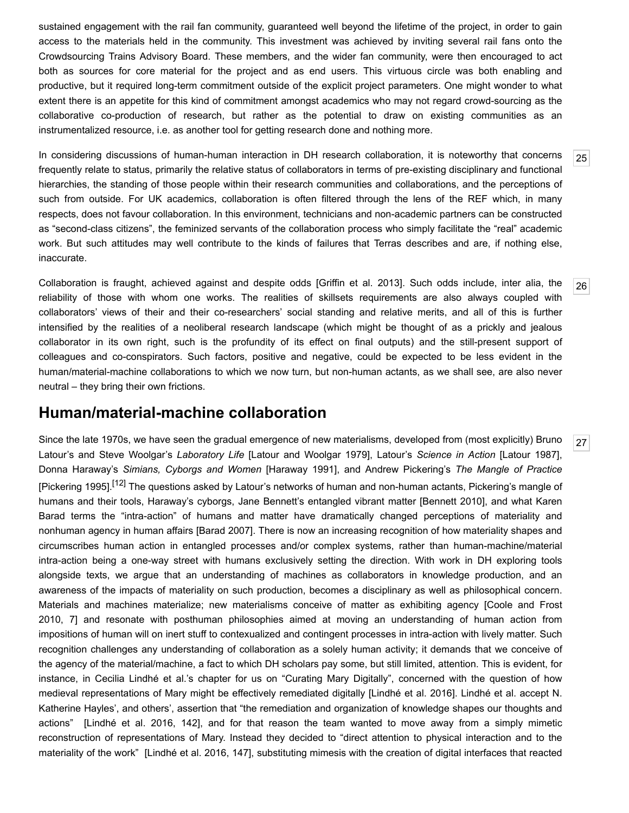sustained engagement with the rail fan community, guaranteed well beyond the lifetime of the project, in order to gain access to the materials held in the community. This investment was achieved by inviting several rail fans onto the Crowdsourcing Trains Advisory Board. These members, and the wider fan community, were then encouraged to act both as sources for core material for the project and as end users. This virtuous circle was both enabling and productive, but it required long-term commitment outside of the explicit project parameters. One might wonder to what extent there is an appetite for this kind of commitment amongst academics who may not regard crowd-sourcing as the collaborative co-production of research, but rather as the potential to draw on existing communities as an instrumentalized resource, i.e. as another tool for getting research done and nothing more.

<span id="page-7-0"></span>In considering discussions of human-human interaction in DH research collaboration, it is noteworthy that concerns frequently relate to status, primarily the relative status of collaborators in terms of pre-existing disciplinary and functional hierarchies, the standing of those people within their research communities and collaborations, and the perceptions of such from outside. For UK academics, collaboration is often filtered through the lens of the REF which, in many respects, does not favour collaboration. In this environment, technicians and non-academic partners can be constructed as "second-class citizens", the feminized servants of the collaboration process who simply facilitate the "real" academic work. But such attitudes may well contribute to the kinds of failures that Terras describes and are, if nothing else, inaccurate.

<span id="page-7-1"></span>Collaboration is fraught, achieved against and despite odds [\[Griffin et al. 2013](#page-19-6)]. Such odds include, inter alia, the reliability of those with whom one works. The realities of skillsets requirements are also always coupled with collaborators' views of their and their co-researchers' social standing and relative merits, and all of this is further intensified by the realities of a neoliberal research landscape (which might be thought of as a prickly and jealous collaborator in its own right, such is the profundity of its effect on final outputs) and the still-present support of colleagues and co-conspirators. Such factors, positive and negative, could be expected to be less evident in the human/material-machine collaborations to which we now turn, but non-human actants, as we shall see, are also never neutral – they bring their own frictions.

### **Human/material-machine collaboration**

<span id="page-7-2"></span>Since the late 1970s, we have seen the gradual emergence of new materialisms, developed from (most explicitly) Bruno Latour's and Steve Woolgar's *Laboratory Life* [[Latour and Woolgar 1979\]](#page-20-4), Latour's *Science in Action* [\[Latour 1987](#page-20-5)], Donna Haraway's *Simians, Cyborgs and Women* [[Haraway 1991](#page-19-7)], and Andrew Pickering's *The Mangle of Practice* [\[Pickering 1995\]](#page-21-8).<sup>[12]</sup> The questions asked by Latour's networks of human and non-human actants, Pickering's mangle of humans and their tools, Haraway's cyborgs, Jane Bennett's entangled vibrant matter [\[Bennett 2010](#page-18-5)], and what Karen Barad terms the "intra-action" of humans and matter have dramatically changed perceptions of materiality and nonhuman agency in human affairs [[Barad 2007\]](#page-18-6). There is now an increasing recognition of how materiality shapes and circumscribes human action in entangled processes and/or complex systems, rather than human-machine/material intra-action being a one-way street with humans exclusively setting the direction. With work in DH exploring tools alongside texts, we argue that an understanding of machines as collaborators in knowledge production, and an awareness of the impacts of materiality on such production, becomes a disciplinary as well as philosophical concern. [Materials and machines materialize; new materialisms conceive of matter as exhibiting agency \[Coole and Frost](#page-18-7) 2010, 7] and resonate with posthuman philosophies aimed at moving an understanding of human action from impositions of human will on inert stuff to contexualized and contingent processes in intra-action with lively matter. Such recognition challenges any understanding of collaboration as a solely human activity; it demands that we conceive of the agency of the material/machine, a fact to which DH scholars pay some, but still limited, attention. This is evident, for instance, in Cecilia Lindhé et al.'s chapter for us on "Curating Mary Digitally", concerned with the question of how medieval representations of Mary might be effectively remediated digitally [[Lindhé et al. 2016](http://www.digitalhumanities.org/dhq/vol/12/1/000351/000351.html#lindh%C3%A92016)]. Lindhé et al. accept N. Katherine Hayles', and others', assertion that "the remediation and organization of knowledge shapes our thoughts and actions" [\[Lindhé et al. 2016](http://www.digitalhumanities.org/dhq/vol/12/1/000351/000351.html#lindh%C3%A92016), 142], and for that reason the team wanted to move away from a simply mimetic reconstruction of representations of Mary. Instead they decided to "direct attention to physical interaction and to the materiality of the work" [\[Lindhé et al. 2016](http://www.digitalhumanities.org/dhq/vol/12/1/000351/000351.html#lindh%C3%A92016), 147], substituting mimesis with the creation of digital interfaces that reacted

[25](#page-7-0)

[26](#page-7-1)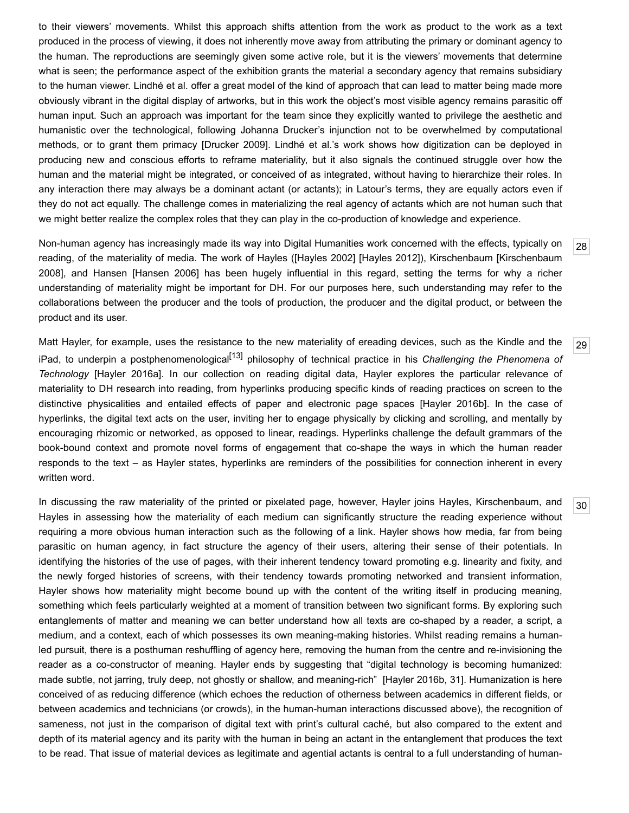to their viewers' movements. Whilst this approach shifts attention from the work as product to the work as a text produced in the process of viewing, it does not inherently move away from attributing the primary or dominant agency to the human. The reproductions are seemingly given some active role, but it is the viewers' movements that determine what is seen; the performance aspect of the exhibition grants the material a secondary agency that remains subsidiary to the human viewer. Lindhé et al. offer a great model of the kind of approach that can lead to matter being made more obviously vibrant in the digital display of artworks, but in this work the object's most visible agency remains parasitic off human input. Such an approach was important for the team since they explicitly wanted to privilege the aesthetic and humanistic over the technological, following Johanna Drucker's injunction not to be overwhelmed by computational methods, or to grant them primacy [[Drucker 2009](#page-19-8)]. Lindhé et al.'s work shows how digitization can be deployed in producing new and conscious efforts to reframe materiality, but it also signals the continued struggle over how the human and the material might be integrated, or conceived of as integrated, without having to hierarchize their roles. In any interaction there may always be a dominant actant (or actants); in Latour's terms, they are equally actors even if they do not act equally. The challenge comes in materializing the real agency of actants which are not human such that we might better realize the complex roles that they can play in the co-production of knowledge and experience.

<span id="page-8-0"></span>Non-human agency has increasingly made its way into Digital Humanities work concerned with the effects, typically on [reading, of the materiality of media. The work of Hayles \(\[](#page-20-8)[Hayles 200](#page-20-6)[2\] \[](#page-20-8)[Hayles 2012](#page-20-7)[\]\), Kirschenbaum \[Kirschenbaum](#page-20-8) 2008], and Hansen [[Hansen 2006](#page-19-9)] has been hugely influential in this regard, setting the terms for why a richer understanding of materiality might be important for DH. For our purposes here, such understanding may refer to the collaborations between the producer and the tools of production, the producer and the digital product, or between the product and its user.

<span id="page-8-1"></span>Matt Hayler, for example, uses the resistance to the new materiality of ereading devices, such as the Kindle and the iPad, to underpin a postphenomenologica[l\[13\]](#page-17-12) philosophy of technical practice in his *Challenging the Phenomena of Technology* [[Hayler 2016a](#page-19-10)]. In our collection on reading digital data, Hayler explores the particular relevance of materiality to DH research into reading, from hyperlinks producing specific kinds of reading practices on screen to the distinctive physicalities and entailed effects of paper and electronic page spaces [[Hayler 2016b](#page-19-11)]. In the case of hyperlinks, the digital text acts on the user, inviting her to engage physically by clicking and scrolling, and mentally by encouraging rhizomic or networked, as opposed to linear, readings. Hyperlinks challenge the default grammars of the book-bound context and promote novel forms of engagement that co-shape the ways in which the human reader responds to the text – as Hayler states, hyperlinks are reminders of the possibilities for connection inherent in every written word.

<span id="page-8-2"></span>In discussing the raw materiality of the printed or pixelated page, however, Hayler joins Hayles, Kirschenbaum, and Hayles in assessing how the materiality of each medium can significantly structure the reading experience without requiring a more obvious human interaction such as the following of a link. Hayler shows how media, far from being parasitic on human agency, in fact structure the agency of their users, altering their sense of their potentials. In identifying the histories of the use of pages, with their inherent tendency toward promoting e.g. linearity and fixity, and the newly forged histories of screens, with their tendency towards promoting networked and transient information, Hayler shows how materiality might become bound up with the content of the writing itself in producing meaning, something which feels particularly weighted at a moment of transition between two significant forms. By exploring such entanglements of matter and meaning we can better understand how all texts are co-shaped by a reader, a script, a medium, and a context, each of which possesses its own meaning-making histories. Whilst reading remains a humanled pursuit, there is a posthuman reshuffling of agency here, removing the human from the centre and re-invisioning the reader as a co-constructor of meaning. Hayler ends by suggesting that "digital technology is becoming humanized: made subtle, not jarring, truly deep, not ghostly or shallow, and meaning-rich" [\[Hayler 2016b,](#page-19-11) 31]. Humanization is here conceived of as reducing difference (which echoes the reduction of otherness between academics in different fields, or between academics and technicians (or crowds), in the human-human interactions discussed above), the recognition of sameness, not just in the comparison of digital text with print's cultural caché, but also compared to the extent and depth of its material agency and its parity with the human in being an actant in the entanglement that produces the text to be read. That issue of material devices as legitimate and agential actants is central to a full understanding of human-

[28](#page-8-0)

[29](#page-8-1)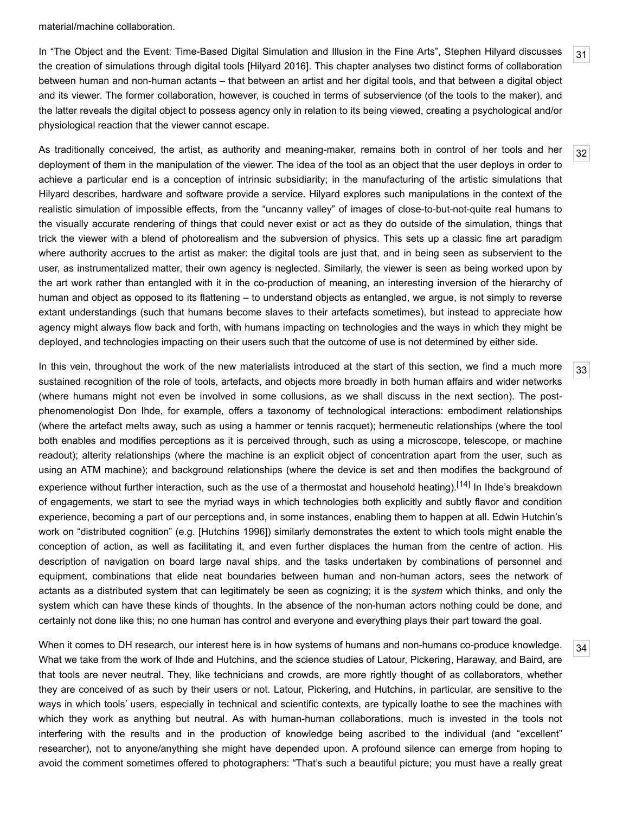material/machine collaboration.

<span id="page-9-0"></span>In "The Object and the Event: Time-Based Digital Simulation and Illusion in the Fine Arts", Stephen Hilyard discusses the creation of simulations through digital tools [[Hilyard 2016\]](#page-20-9). This chapter analyses two distinct forms of collaboration between human and non-human actants – that between an artist and her digital tools, and that between a digital object and its viewer. The former collaboration, however, is couched in terms of subservience (of the tools to the maker), and the latter reveals the digital object to possess agency only in relation to its being viewed, creating a psychological and/or physiological reaction that the viewer cannot escape.

<span id="page-9-1"></span>As traditionally conceived, the artist, as authority and meaning-maker, remains both in control of her tools and her deployment of them in the manipulation of the viewer. The idea of the tool as an object that the user deploys in order to achieve a particular end is a conception of intrinsic subsidiarity; in the manufacturing of the artistic simulations that Hilyard describes, hardware and software provide a service. Hilyard explores such manipulations in the context of the realistic simulation of impossible effects, from the "uncanny valley" of images of close-to-but-not-quite real humans to the visually accurate rendering of things that could never exist or act as they do outside of the simulation, things that trick the viewer with a blend of photorealism and the subversion of physics. This sets up a classic fine art paradigm where authority accrues to the artist as maker: the digital tools are just that, and in being seen as subservient to the user, as instrumentalized matter, their own agency is neglected. Similarly, the viewer is seen as being worked upon by the art work rather than entangled with it in the co-production of meaning, an interesting inversion of the hierarchy of human and object as opposed to its flattening – to understand objects as entangled, we argue, is not simply to reverse extant understandings (such that humans become slaves to their artefacts sometimes), but instead to appreciate how agency might always flow back and forth, with humans impacting on technologies and the ways in which they might be deployed, and technologies impacting on their users such that the outcome of use is not determined by either side.

<span id="page-9-2"></span>In this vein, throughout the work of the new materialists introduced at the start of this section, we find a much more sustained recognition of the role of tools, artefacts, and objects more broadly in both human affairs and wider networks (where humans might not even be involved in some collusions, as we shall discuss in the next section). The postphenomenologist Don Ihde, for example, offers a taxonomy of technological interactions: embodiment relationships (where the artefact melts away, such as using a hammer or tennis racquet); hermeneutic relationships (where the tool both enables and modifies perceptions as it is perceived through, such as using a microscope, telescope, or machine readout); alterity relationships (where the machine is an explicit object of concentration apart from the user, such as using an ATM machine); and background relationships (where the device is set and then modifies the background of experience without further interaction, such as the use of a thermostat and household heating).<sup>[14]</sup> In Ihde's breakdown of engagements, we start to see the myriad ways in which technologies both explicitly and subtly flavor and condition experience, becoming a part of our perceptions and, in some instances, enabling them to happen at all. Edwin Hutchin's work on "distributed cognition" (e.g. [\[Hutchins 1996](#page-20-10)]) similarly demonstrates the extent to which tools might enable the conception of action, as well as facilitating it, and even further displaces the human from the centre of action. His description of navigation on board large naval ships, and the tasks undertaken by combinations of personnel and equipment, combinations that elide neat boundaries between human and non-human actors, sees the network of actants as a distributed system that can legitimately be seen as cognizing; it is the *system* which thinks, and only the system which can have these kinds of thoughts. In the absence of the non-human actors nothing could be done, and certainly not done like this; no one human has control and everyone and everything plays their part toward the goal.

<span id="page-9-3"></span>When it comes to DH research, our interest here is in how systems of humans and non-humans co-produce knowledge. What we take from the work of Ihde and Hutchins, and the science studies of Latour, Pickering, Haraway, and Baird, are that tools are never neutral. They, like technicians and crowds, are more rightly thought of as collaborators, whether they are conceived of as such by their users or not. Latour, Pickering, and Hutchins, in particular, are sensitive to the ways in which tools' users, especially in technical and scientific contexts, are typically loathe to see the machines with which they work as anything but neutral. As with human-human collaborations, much is invested in the tools not interfering with the results and in the production of knowledge being ascribed to the individual (and "excellent" researcher), not to anyone/anything she might have depended upon. A profound silence can emerge from hoping to avoid the comment sometimes offered to photographers: "That's such a beautiful picture; you must have a really great

[31](#page-9-0)

[32](#page-9-1)

[33](#page-9-2)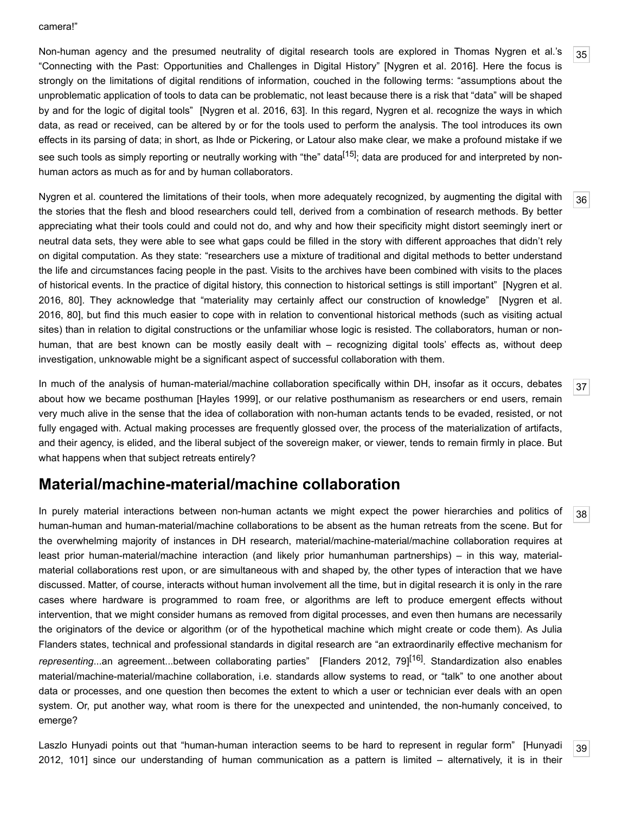#### camera!"

<span id="page-10-0"></span>Non-human agency and the presumed neutrality of digital research tools are explored in Thomas Nygren et al.'s "Connecting with the Past: Opportunities and Challenges in Digital History" [[Nygren et al. 2016](#page-21-9)]. Here the focus is strongly on the limitations of digital renditions of information, couched in the following terms: "assumptions about the unproblematic application of tools to data can be problematic, not least because there is a risk that "data" will be shaped by and for the logic of digital tools" [\[Nygren et al. 2016,](#page-21-9) 63]. In this regard, Nygren et al. recognize the ways in which data, as read or received, can be altered by or for the tools used to perform the analysis. The tool introduces its own effects in its parsing of data; in short, as Ihde or Pickering, or Latour also make clear, we make a profound mistake if we see such tools as simply reporting or neutrally working with "the" data<sup>[15]</sup>; data are produced for and interpreted by nonhuman actors as much as for and by human collaborators.

<span id="page-10-1"></span>Nygren et al. countered the limitations of their tools, when more adequately recognized, by augmenting the digital with the stories that the flesh and blood researchers could tell, derived from a combination of research methods. By better appreciating what their tools could and could not do, and why and how their specificity might distort seemingly inert or neutral data sets, they were able to see what gaps could be filled in the story with different approaches that didn't rely on digital computation. As they state: "researchers use a mixture of traditional and digital methods to better understand the life and circumstances facing people in the past. Visits to the archives have been combined with visits to the places of historical events. In the practice of digital history, this connection to historical settings is still important" [Nygren et al. [2016, 80\]. They acknowledge that "materiality may certainly affect our construction of knowledge" \[Nygren et al.](#page-21-9) 2016, 80], but find this much easier to cope with in relation to conventional historical methods (such as visiting actual sites) than in relation to digital constructions or the unfamiliar whose logic is resisted. The collaborators, human or nonhuman, that are best known can be mostly easily dealt with – recognizing digital tools' effects as, without deep investigation, unknowable might be a significant aspect of successful collaboration with them.

<span id="page-10-2"></span>In much of the analysis of human-material/machine collaboration specifically within DH, insofar as it occurs, debates about how we became posthuman [\[Hayles 1999\]](#page-20-11), or our relative posthumanism as researchers or end users, remain very much alive in the sense that the idea of collaboration with non-human actants tends to be evaded, resisted, or not fully engaged with. Actual making processes are frequently glossed over, the process of the materialization of artifacts, and their agency, is elided, and the liberal subject of the sovereign maker, or viewer, tends to remain firmly in place. But what happens when that subject retreats entirely?

# **Material/machine-material/machine collaboration**

<span id="page-10-3"></span>In purely material interactions between non-human actants we might expect the power hierarchies and politics of human-human and human-material/machine collaborations to be absent as the human retreats from the scene. But for the overwhelming majority of instances in DH research, material/machine-material/machine collaboration requires at least prior human-material/machine interaction (and likely prior humanhuman partnerships) – in this way, materialmaterial collaborations rest upon, or are simultaneous with and shaped by, the other types of interaction that we have discussed. Matter, of course, interacts without human involvement all the time, but in digital research it is only in the rare cases where hardware is programmed to roam free, or algorithms are left to produce emergent effects without intervention, that we might consider humans as removed from digital processes, and even then humans are necessarily the originators of the device or algorithm (or of the hypothetical machine which might create or code them). As Julia Flanders states, technical and professional standards in digital research are "an extraordinarily effective mechanism for *representing*...an agreement...between collaborating parties" [[Flanders 2012,](#page-19-4) 79][\[16\].](#page-17-15) Standardization also enables material/machine-material/machine collaboration, i.e. standards allow systems to read, or "talk" to one another about data or processes, and one question then becomes the extent to which a user or technician ever deals with an open system. Or, put another way, what room is there for the unexpected and unintended, the non-humanly conceived, to emerge?

<span id="page-10-4"></span>[Laszlo Hunyadi points out that "human-human interaction seems to be hard to represent in regular form" \[Hunyadi](#page-20-12) 2012, 101] since our understanding of human communication as a pattern is limited – alternatively, it is in their

[35](#page-10-0)

[36](#page-10-1)

[37](#page-10-2)

[38](#page-10-3)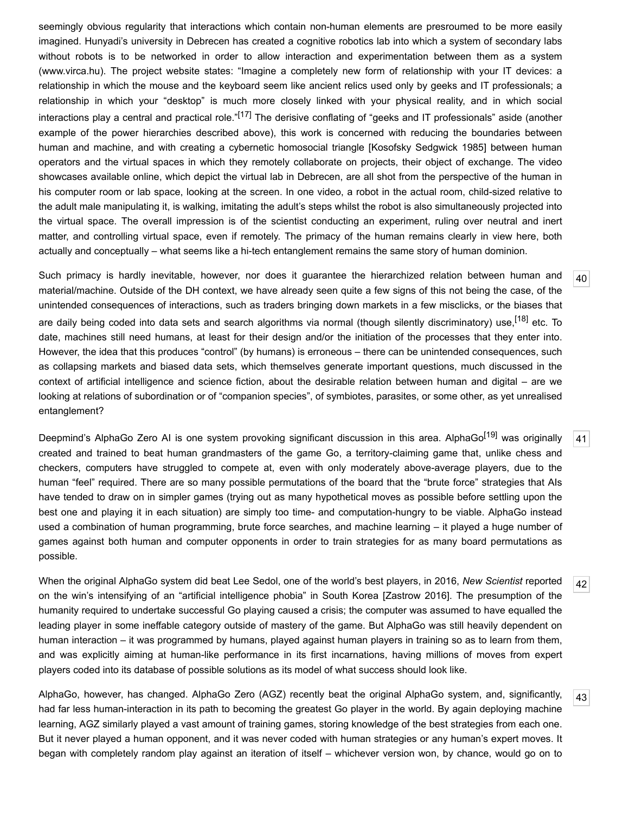seemingly obvious regularity that interactions which contain non-human elements are presroumed to be more easily imagined. Hunyadi's university in Debrecen has created a cognitive robotics lab into which a system of secondary labs without robots is to be networked in order to allow interaction and experimentation between them as a system ([www.virca.hu](http://www.virca.hu/)). The project website states: "Imagine a completely new form of relationship with your IT devices: a relationship in which the mouse and the keyboard seem like ancient relics used only by geeks and IT professionals; a relationship in which your "desktop" is much more closely linked with your physical reality, and in which social interactions play a central and practical role."<sup>[17]</sup> The derisive conflating of "geeks and IT professionals" aside (another example of the power hierarchies described above), this work is concerned with reducing the boundaries between human and machine, and with creating a cybernetic homosocial triangle [[Kosofsky Sedgwick 1985](#page-20-13)] between human operators and the virtual spaces in which they remotely collaborate on projects, their object of exchange. The video showcases available online, which depict the virtual lab in Debrecen, are all shot from the perspective of the human in his computer room or lab space, looking at the screen. In one video, a robot in the actual room, child-sized relative to the adult male manipulating it, is walking, imitating the adult's steps whilst the robot is also simultaneously projected into the virtual space. The overall impression is of the scientist conducting an experiment, ruling over neutral and inert matter, and controlling virtual space, even if remotely. The primacy of the human remains clearly in view here, both actually and conceptually – what seems like a hi-tech entanglement remains the same story of human dominion.

<span id="page-11-0"></span>Such primacy is hardly inevitable, however, nor does it guarantee the hierarchized relation between human and material/machine. Outside of the DH context, we have already seen quite a few signs of this not being the case, of the unintended consequences of interactions, such as traders bringing down markets in a few misclicks, or the biases that are daily being coded into data sets and search algorithms via normal (though silently discriminatory) use,<sup>[18]</sup> etc. To date, machines still need humans, at least for their design and/or the initiation of the processes that they enter into. However, the idea that this produces "control" (by humans) is erroneous – there can be unintended consequences, such as collapsing markets and biased data sets, which themselves generate important questions, much discussed in the context of artificial intelligence and science fiction, about the desirable relation between human and digital – are we looking at relations of subordination or of "companion species", of symbiotes, parasites, or some other, as yet unrealised entanglement?

[40](#page-11-0)

[41](#page-11-1)

[42](#page-11-2)

[43](#page-11-3)

<span id="page-11-1"></span>Deepmind's AlphaGo Zero AI is one system provoking significant discussion in this area. AlphaGo<sup>[19]</sup> was originally created and trained to beat human grandmasters of the game Go, a territory-claiming game that, unlike chess and checkers, computers have struggled to compete at, even with only moderately above-average players, due to the human "feel" required. There are so many possible permutations of the board that the "brute force" strategies that AIs have tended to draw on in simpler games (trying out as many hypothetical moves as possible before settling upon the best one and playing it in each situation) are simply too time- and computation-hungry to be viable. AlphaGo instead used a combination of human programming, brute force searches, and machine learning – it played a huge number of games against both human and computer opponents in order to train strategies for as many board permutations as possible.

<span id="page-11-2"></span>When the original AlphaGo system did beat Lee Sedol, one of the world's best players, in 2016, *New Scientist* reported on the win's intensifying of an "artificial intelligence phobia" in South Korea [\[Zastrow 2016\]](#page-21-10). The presumption of the humanity required to undertake successful Go playing caused a crisis; the computer was assumed to have equalled the leading player in some ineffable category outside of mastery of the game. But AlphaGo was still heavily dependent on human interaction – it was programmed by humans, played against human players in training so as to learn from them, and was explicitly aiming at human-like performance in its first incarnations, having millions of moves from expert players coded into its database of possible solutions as its model of what success should look like.

<span id="page-11-3"></span>AlphaGo, however, has changed. AlphaGo Zero (AGZ) recently beat the original AlphaGo system, and, significantly, had far less human-interaction in its path to becoming the greatest Go player in the world. By again deploying machine learning, AGZ similarly played a vast amount of training games, storing knowledge of the best strategies from each one. But it never played a human opponent, and it was never coded with human strategies or any human's expert moves. It began with completely random play against an iteration of itself – whichever version won, by chance, would go on to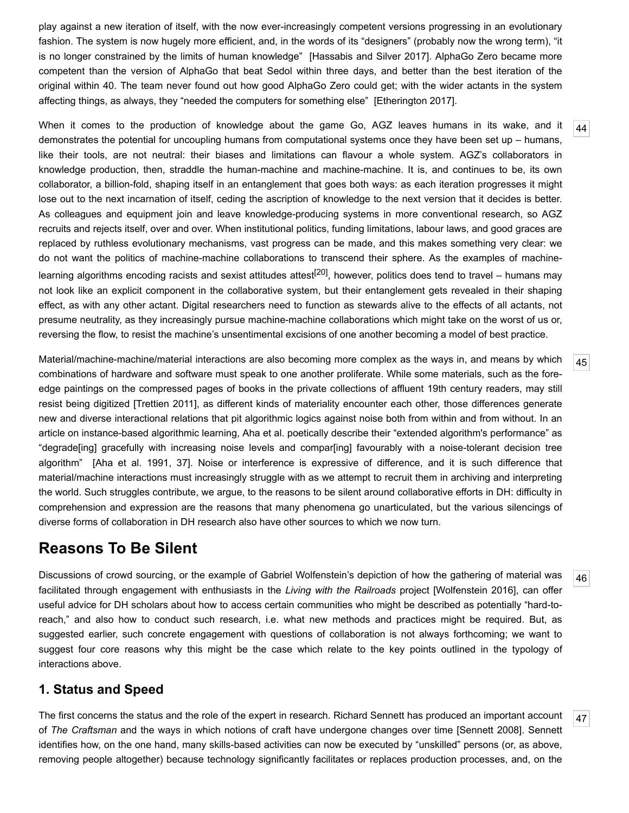play against a new iteration of itself, with the now ever-increasingly competent versions progressing in an evolutionary fashion. The system is now hugely more efficient, and, in the words of its "designers" (probably now the wrong term), "it is no longer constrained by the limits of human knowledge" [\[Hassabis and Silver 2017](#page-19-12)]. AlphaGo Zero became more competent than the version of AlphaGo that beat Sedol within three days, and better than the best iteration of the original within 40. The team never found out how good AlphaGo Zero could get; with the wider actants in the system affecting things, as always, they "needed the computers for something else" [[Etherington 2017\]](#page-19-13).

<span id="page-12-0"></span>When it comes to the production of knowledge about the game Go, AGZ leaves humans in its wake, and it demonstrates the potential for uncoupling humans from computational systems once they have been set up – humans, like their tools, are not neutral: their biases and limitations can flavour a whole system. AGZ's collaborators in knowledge production, then, straddle the human-machine and machine-machine. It is, and continues to be, its own collaborator, a billion-fold, shaping itself in an entanglement that goes both ways: as each iteration progresses it might lose out to the next incarnation of itself, ceding the ascription of knowledge to the next version that it decides is better. As colleagues and equipment join and leave knowledge-producing systems in more conventional research, so AGZ recruits and rejects itself, over and over. When institutional politics, funding limitations, labour laws, and good graces are replaced by ruthless evolutionary mechanisms, vast progress can be made, and this makes something very clear: we do not want the politics of machine-machine collaborations to transcend their sphere. As the examples of machine-learning algorithms encoding racists and sexist attitudes attest<sup>[\[20\]](#page-18-9)</sup>, however, politics does tend to travel – humans may not look like an explicit component in the collaborative system, but their entanglement gets revealed in their shaping effect, as with any other actant. Digital researchers need to function as stewards alive to the effects of all actants, not presume neutrality, as they increasingly pursue machine-machine collaborations which might take on the worst of us or, reversing the flow, to resist the machine's unsentimental excisions of one another becoming a model of best practice.

<span id="page-12-1"></span>Material/machine-machine/material interactions are also becoming more complex as the ways in, and means by which combinations of hardware and software must speak to one another proliferate. While some materials, such as the foreedge paintings on the compressed pages of books in the private collections of affluent 19th century readers, may still resist being digitized [[Trettien 2011\]](#page-21-11), as different kinds of materiality encounter each other, those differences generate new and diverse interactional relations that pit algorithmic logics against noise both from within and from without. In an article on instance-based algorithmic learning, Aha et al. poetically describe their "extended algorithm's performance" as "degrade[ing] gracefully with increasing noise levels and compar[ing] favourably with a noise-tolerant decision tree algorithm" [[Aha et al. 1991](#page-18-10), 37]. Noise or interference is expressive of difference, and it is such difference that material/machine interactions must increasingly struggle with as we attempt to recruit them in archiving and interpreting the world. Such struggles contribute, we argue, to the reasons to be silent around collaborative efforts in DH: difficulty in comprehension and expression are the reasons that many phenomena go unarticulated, but the various silencings of diverse forms of collaboration in DH research also have other sources to which we now turn.

# **Reasons To Be Silent**

<span id="page-12-3"></span>Discussions of crowd sourcing, or the example of Gabriel Wolfenstein's depiction of how the gathering of material was facilitated through engagement with enthusiasts in the *Living with the Railroads* project [[Wolfenstein 2016\]](#page-21-7), can offer useful advice for DH scholars about how to access certain communities who might be described as potentially "hard-toreach," and also how to conduct such research, i.e. what new methods and practices might be required. But, as suggested earlier, such concrete engagement with questions of collaboration is not always forthcoming; we want to suggest four core reasons why this might be the case which relate to the key points outlined in the typology of interactions above.

### **1. Status and Speed**

<span id="page-12-2"></span>[47](#page-12-2) The first concerns the status and the role of the expert in research. Richard Sennett has produced an important account of *The Craftsman* and the ways in which notions of craft have undergone changes over time [\[Sennett 2008](#page-21-12)]. Sennett identifies how, on the one hand, many skills-based activities can now be executed by "unskilled" persons (or, as above, removing people altogether) because technology significantly facilitates or replaces production processes, and, on the

[44](#page-12-0)

[45](#page-12-1)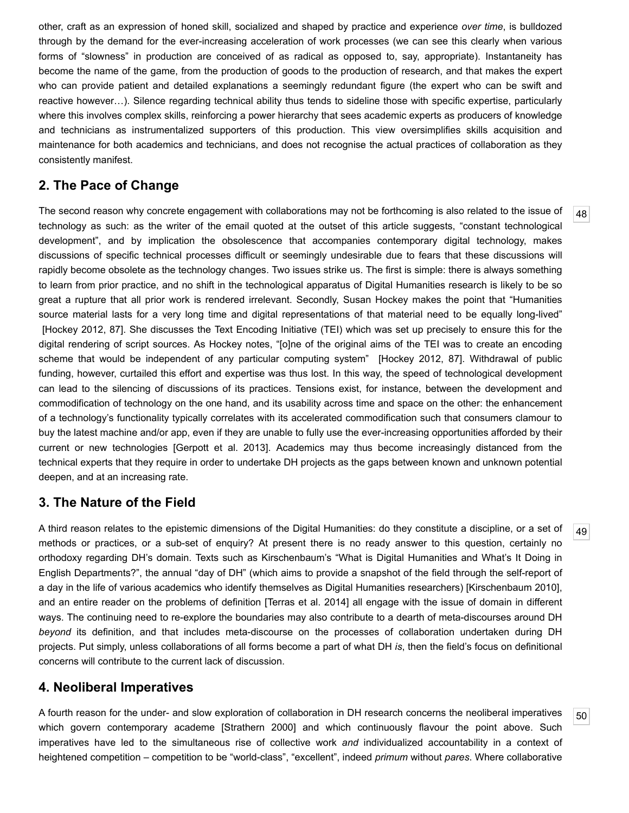other, craft as an expression of honed skill, socialized and shaped by practice and experience *over time*, is bulldozed through by the demand for the ever-increasing acceleration of work processes (we can see this clearly when various forms of "slowness" in production are conceived of as radical as opposed to, say, appropriate). Instantaneity has become the name of the game, from the production of goods to the production of research, and that makes the expert who can provide patient and detailed explanations a seemingly redundant figure (the expert who can be swift and reactive however…). Silence regarding technical ability thus tends to sideline those with specific expertise, particularly where this involves complex skills, reinforcing a power hierarchy that sees academic experts as producers of knowledge and technicians as instrumentalized supporters of this production. This view oversimplifies skills acquisition and maintenance for both academics and technicians, and does not recognise the actual practices of collaboration as they consistently manifest.

#### **2. The Pace of Change**

<span id="page-13-0"></span>The second reason why concrete engagement with collaborations may not be forthcoming is also related to the issue of technology as such: as the writer of the email quoted at the outset of this article suggests, "constant technological development", and by implication the obsolescence that accompanies contemporary digital technology, makes discussions of specific technical processes difficult or seemingly undesirable due to fears that these discussions will rapidly become obsolete as the technology changes. Two issues strike us. The first is simple: there is always something to learn from prior practice, and no shift in the technological apparatus of Digital Humanities research is likely to be so great a rupture that all prior work is rendered irrelevant. Secondly, Susan Hockey makes the point that "Humanities source material lasts for a very long time and digital representations of that material need to be equally long-lived" [[Hockey 2012,](#page-20-3) 87]. She discusses the Text Encoding Initiative (TEI) which was set up precisely to ensure this for the digital rendering of script sources. As Hockey notes, "[o]ne of the original aims of the TEI was to create an encoding scheme that would be independent of any particular computing system" [\[Hockey 2012](#page-20-3), 87]. Withdrawal of public funding, however, curtailed this effort and expertise was thus lost. In this way, the speed of technological development can lead to the silencing of discussions of its practices. Tensions exist, for instance, between the development and commodification of technology on the one hand, and its usability across time and space on the other: the enhancement of a technology's functionality typically correlates with its accelerated commodification such that consumers clamour to buy the latest machine and/or app, even if they are unable to fully use the ever-increasing opportunities afforded by their current or new technologies [\[Gerpott et al. 2013](#page-19-14)]. Academics may thus become increasingly distanced from the technical experts that they require in order to undertake DH projects as the gaps between known and unknown potential deepen, and at an increasing rate.

#### **3. The Nature of the Field**

<span id="page-13-1"></span>A third reason relates to the epistemic dimensions of the Digital Humanities: do they constitute a discipline, or a set of methods or practices, or a sub-set of enquiry? At present there is no ready answer to this question, certainly no orthodoxy regarding DH's domain. Texts such as Kirschenbaum's "What is Digital Humanities and What's It Doing in English Departments?", the annual "day of DH" (which aims to provide a snapshot of the field through the self-report of a day in the life of various academics who identify themselves as Digital Humanities researchers) [[Kirschenbaum 2010](#page-20-14)], and an entire reader on the problems of definition [\[Terras et al. 2014](#page-21-13)] all engage with the issue of domain in different ways. The continuing need to re-explore the boundaries may also contribute to a dearth of meta-discourses around DH *beyond* its definition, and that includes meta-discourse on the processes of collaboration undertaken during DH projects. Put simply, unless collaborations of all forms become a part of what DH *is*, then the field's focus on definitional concerns will contribute to the current lack of discussion.

#### **4. Neoliberal Imperatives**

<span id="page-13-2"></span>A fourth reason for the under- and slow exploration of collaboration in DH research concerns the neoliberal imperatives which govern contemporary academe [\[Strathern 2000\]](#page-21-14) and which continuously flavour the point above. Such imperatives have led to the simultaneous rise of collective work *and* individualized accountability in a context of heightened competition – competition to be "world-class", "excellent", indeed *primum* without *pares*. Where collaborative

[49](#page-13-1)

[50](#page-13-2)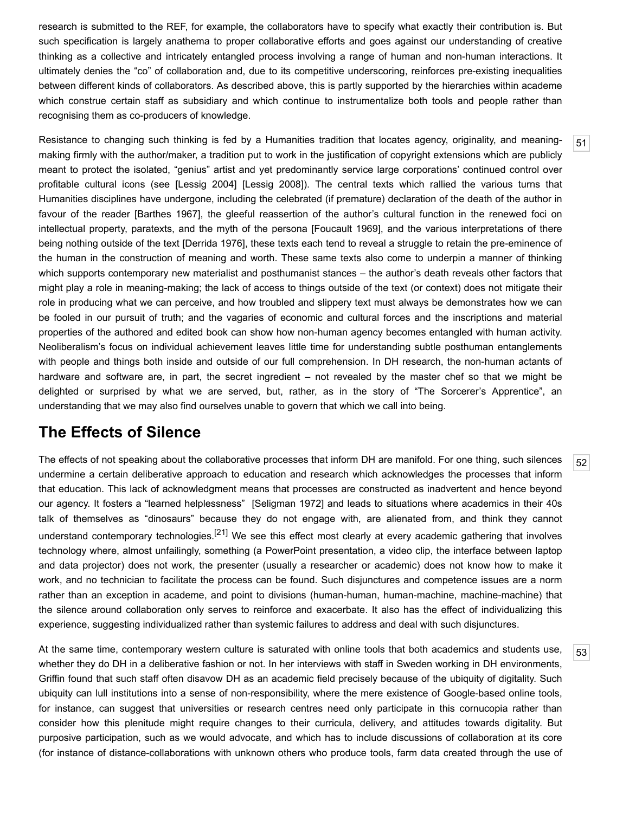research is submitted to the REF, for example, the collaborators have to specify what exactly their contribution is. But such specification is largely anathema to proper collaborative efforts and goes against our understanding of creative thinking as a collective and intricately entangled process involving a range of human and non-human interactions. It ultimately denies the "co" of collaboration and, due to its competitive underscoring, reinforces pre-existing inequalities between different kinds of collaborators. As described above, this is partly supported by the hierarchies within academe which construe certain staff as subsidiary and which continue to instrumentalize both tools and people rather than recognising them as co-producers of knowledge.

<span id="page-14-0"></span>Resistance to changing such thinking is fed by a Humanities tradition that locates agency, originality, and meaningmaking firmly with the author/maker, a tradition put to work in the justification of copyright extensions which are publicly meant to protect the isolated, "genius" artist and yet predominantly service large corporations' continued control over profitable cultural icons (see [\[Lessig 2004\]](#page-20-15) [[Lessig 2008](#page-20-16)]). The central texts which rallied the various turns that Humanities disciplines have undergone, including the celebrated (if premature) declaration of the death of the author in favour of the reader [[Barthes 1967](#page-18-11)], the gleeful reassertion of the author's cultural function in the renewed foci on intellectual property, paratexts, and the myth of the persona [[Foucault 1969\]](#page-19-15), and the various interpretations of there being nothing outside of the text [\[Derrida 1976\]](#page-19-16), these texts each tend to reveal a struggle to retain the pre-eminence of the human in the construction of meaning and worth. These same texts also come to underpin a manner of thinking which supports contemporary new materialist and posthumanist stances – the author's death reveals other factors that might play a role in meaning-making; the lack of access to things outside of the text (or context) does not mitigate their role in producing what we can perceive, and how troubled and slippery text must always be demonstrates how we can be fooled in our pursuit of truth; and the vagaries of economic and cultural forces and the inscriptions and material properties of the authored and edited book can show how non-human agency becomes entangled with human activity. Neoliberalism's focus on individual achievement leaves little time for understanding subtle posthuman entanglements with people and things both inside and outside of our full comprehension. In DH research, the non-human actants of hardware and software are, in part, the secret ingredient – not revealed by the master chef so that we might be delighted or surprised by what we are served, but, rather, as in the story of "The Sorcerer's Apprentice", an understanding that we may also find ourselves unable to govern that which we call into being.

# **The Effects of Silence**

<span id="page-14-1"></span>The effects of not speaking about the collaborative processes that inform DH are manifold. For one thing, such silences undermine a certain deliberative approach to education and research which acknowledges the processes that inform that education. This lack of acknowledgment means that processes are constructed as inadvertent and hence beyond our agency. It fosters a "learned helplessness" [[Seligman 1972\]](#page-21-15) and leads to situations where academics in their 40s talk of themselves as "dinosaurs" because they do not engage with, are alienated from, and think they cannot understand contemporary technologies.<sup>[\[21\]](#page-18-12)</sup> We see this effect most clearly at every academic gathering that involves technology where, almost unfailingly, something (a PowerPoint presentation, a video clip, the interface between laptop and data projector) does not work, the presenter (usually a researcher or academic) does not know how to make it work, and no technician to facilitate the process can be found. Such disjunctures and competence issues are a norm rather than an exception in academe, and point to divisions (human-human, human-machine, machine-machine) that the silence around collaboration only serves to reinforce and exacerbate. It also has the effect of individualizing this experience, suggesting individualized rather than systemic failures to address and deal with such disjunctures.

<span id="page-14-2"></span>At the same time, contemporary western culture is saturated with online tools that both academics and students use, whether they do DH in a deliberative fashion or not. In her interviews with staff in Sweden working in DH environments, Griffin found that such staff often disavow DH as an academic field precisely because of the ubiquity of digitality. Such ubiquity can lull institutions into a sense of non-responsibility, where the mere existence of Google-based online tools, for instance, can suggest that universities or research centres need only participate in this cornucopia rather than consider how this plenitude might require changes to their curricula, delivery, and attitudes towards digitality. But purposive participation, such as we would advocate, and which has to include discussions of collaboration at its core (for instance of distance-collaborations with unknown others who produce tools, farm data created through the use of

[52](#page-14-1)

[53](#page-14-2)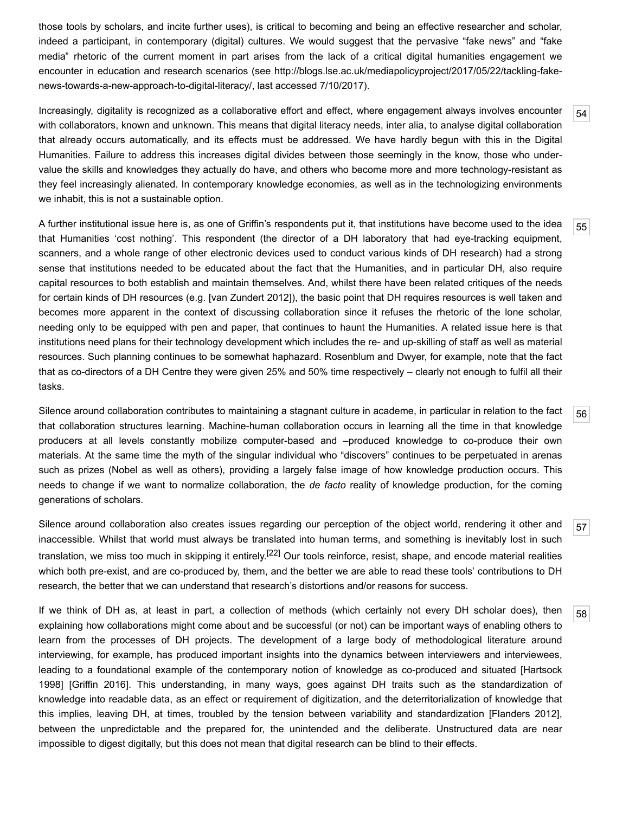those tools by scholars, and incite further uses), is critical to becoming and being an effective researcher and scholar, indeed a participant, in contemporary (digital) cultures. We would suggest that the pervasive "fake news" and "fake media" rhetoric of the current moment in part arises from the lack of a critical digital humanities engagement we [encounter in education and research scenarios \(see http://blogs.lse.ac.uk/mediapolicyproject/2017/05/22/tackling-fake](http://blogs.lse.ac.uk/mediapolicyproject/2017/05/22/tackling-fake-news-towards-a-new-approach-to-digital-literacy/)news-towards-a-new-approach-to-digital-literacy/, last accessed 7/10/2017).

<span id="page-15-0"></span>Increasingly, digitality is recognized as a collaborative effort and effect, where engagement always involves encounter with collaborators, known and unknown. This means that digital literacy needs, inter alia, to analyse digital collaboration that already occurs automatically, and its effects must be addressed. We have hardly begun with this in the Digital Humanities. Failure to address this increases digital divides between those seemingly in the know, those who undervalue the skills and knowledges they actually do have, and others who become more and more technology-resistant as they feel increasingly alienated. In contemporary knowledge economies, as well as in the technologizing environments we inhabit, this is not a sustainable option.

<span id="page-15-1"></span>[55](#page-15-1) A further institutional issue here is, as one of Griffin's respondents put it, that institutions have become used to the idea that Humanities 'cost nothing'. This respondent (the director of a DH laboratory that had eye-tracking equipment, scanners, and a whole range of other electronic devices used to conduct various kinds of DH research) had a strong sense that institutions needed to be educated about the fact that the Humanities, and in particular DH, also require capital resources to both establish and maintain themselves. And, whilst there have been related critiques of the needs for certain kinds of DH resources (e.g. [[van Zundert 2012](#page-21-16)]), the basic point that DH requires resources is well taken and becomes more apparent in the context of discussing collaboration since it refuses the rhetoric of the lone scholar, needing only to be equipped with pen and paper, that continues to haunt the Humanities. A related issue here is that institutions need plans for their technology development which includes the re- and up-skilling of staff as well as material resources. Such planning continues to be somewhat haphazard. Rosenblum and Dwyer, for example, note that the fact that as co-directors of a DH Centre they were given 25% and 50% time respectively – clearly not enough to fulfil all their tasks.

<span id="page-15-2"></span>Silence around collaboration contributes to maintaining a stagnant culture in academe, in particular in relation to the fact that collaboration structures learning. Machine-human collaboration occurs in learning all the time in that knowledge producers at all levels constantly mobilize computer-based and –produced knowledge to co-produce their own materials. At the same time the myth of the singular individual who "discovers" continues to be perpetuated in arenas such as prizes (Nobel as well as others), providing a largely false image of how knowledge production occurs. This needs to change if we want to normalize collaboration, the *de facto* reality of knowledge production, for the coming generations of scholars.

<span id="page-15-3"></span>Silence around collaboration also creates issues regarding our perception of the object world, rendering it other and inaccessible. Whilst that world must always be translated into human terms, and something is inevitably lost in such translation, we miss too much in skipping it entirely.<sup>[\[22\]](#page-18-13)</sup> Our tools reinforce, resist, shape, and encode material realities which both pre-exist, and are co-produced by, them, and the better we are able to read these tools' contributions to DH research, the better that we can understand that research's distortions and/or reasons for success.

<span id="page-15-4"></span>If we think of DH as, at least in part, a collection of methods (which certainly not every DH scholar does), then explaining how collaborations might come about and be successful (or not) can be important ways of enabling others to learn from the processes of DH projects. The development of a large body of methodological literature around interviewing, for example, has produced important insights into the dynamics between interviewers and interviewees, [leading to a foundational example of the contemporary notion of knowledge as co-produced and situated \[Hartsock](#page-19-2) 1998] [\[Griffin 2016](#page-19-17)]. This understanding, in many ways, goes against DH traits such as the standardization of knowledge into readable data, as an effect or requirement of digitization, and the deterritorialization of knowledge that this implies, leaving DH, at times, troubled by the tension between variability and standardization [[Flanders 2012](#page-19-4)], between the unpredictable and the prepared for, the unintended and the deliberate. Unstructured data are near impossible to digest digitally, but this does not mean that digital research can be blind to their effects.

[54](#page-15-0)

[56](#page-15-2)

[57](#page-15-3)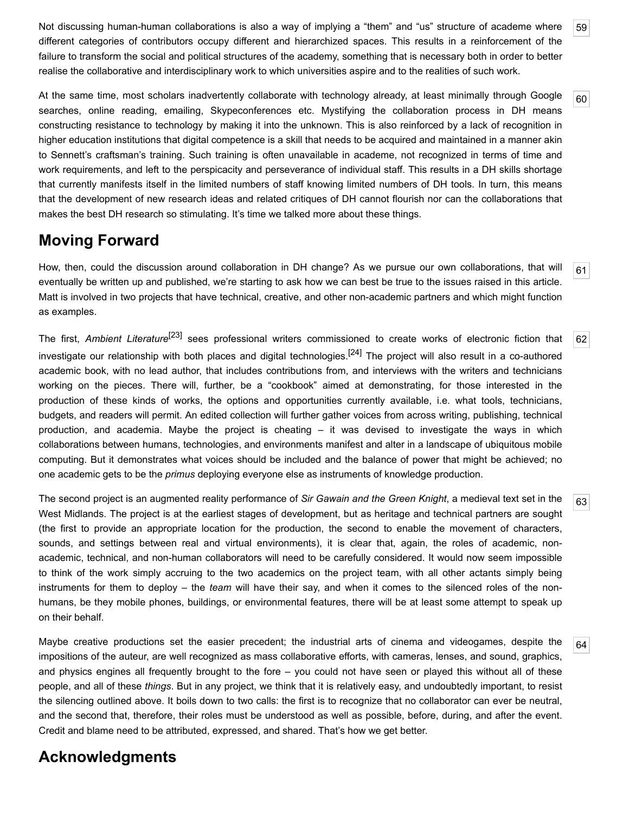<span id="page-16-0"></span>Not discussing human-human collaborations is also a way of implying a "them" and "us" structure of academe where different categories of contributors occupy different and hierarchized spaces. This results in a reinforcement of the failure to transform the social and political structures of the academy, something that is necessary both in order to better realise the collaborative and interdisciplinary work to which universities aspire and to the realities of such work.

<span id="page-16-1"></span>At the same time, most scholars inadvertently collaborate with technology already, at least minimally through Google searches, online reading, emailing, Skypeconferences etc. Mystifying the collaboration process in DH means constructing resistance to technology by making it into the unknown. This is also reinforced by a lack of recognition in higher education institutions that digital competence is a skill that needs to be acquired and maintained in a manner akin to Sennett's craftsman's training. Such training is often unavailable in academe, not recognized in terms of time and work requirements, and left to the perspicacity and perseverance of individual staff. This results in a DH skills shortage that currently manifests itself in the limited numbers of staff knowing limited numbers of DH tools. In turn, this means that the development of new research ideas and related critiques of DH cannot flourish nor can the collaborations that makes the best DH research so stimulating. It's time we talked more about these things.

# **Moving Forward**

<span id="page-16-2"></span>[61](#page-16-2) How, then, could the discussion around collaboration in DH change? As we pursue our own collaborations, that will eventually be written up and published, we're starting to ask how we can best be true to the issues raised in this article. Matt is involved in two projects that have technical, creative, and other non-academic partners and which might function as examples.

<span id="page-16-3"></span>[62](#page-16-3) The first, *Ambient Literature*[\[23\]](#page-18-14) sees professional writers commissioned to create works of electronic fiction that investigate our relationship with both places and digital technologies.<sup>[24]</sup> The project will also result in a co-authored academic book, with no lead author, that includes contributions from, and interviews with the writers and technicians working on the pieces. There will, further, be a "cookbook" aimed at demonstrating, for those interested in the production of these kinds of works, the options and opportunities currently available, i.e. what tools, technicians, budgets, and readers will permit. An edited collection will further gather voices from across writing, publishing, technical production, and academia. Maybe the project is cheating – it was devised to investigate the ways in which collaborations between humans, technologies, and environments manifest and alter in a landscape of ubiquitous mobile computing. But it demonstrates what voices should be included and the balance of power that might be achieved; no one academic gets to be the *primus* deploying everyone else as instruments of knowledge production.

<span id="page-16-4"></span>The second project is an augmented reality performance of *Sir Gawain and the Green Knight*, a medieval text set in the West Midlands. The project is at the earliest stages of development, but as heritage and technical partners are sought (the first to provide an appropriate location for the production, the second to enable the movement of characters, sounds, and settings between real and virtual environments), it is clear that, again, the roles of academic, nonacademic, technical, and non-human collaborators will need to be carefully considered. It would now seem impossible to think of the work simply accruing to the two academics on the project team, with all other actants simply being instruments for them to deploy – the *team* will have their say, and when it comes to the silenced roles of the nonhumans, be they mobile phones, buildings, or environmental features, there will be at least some attempt to speak up on their behalf.

<span id="page-16-5"></span>Maybe creative productions set the easier precedent; the industrial arts of cinema and videogames, despite the impositions of the auteur, are well recognized as mass collaborative efforts, with cameras, lenses, and sound, graphics, and physics engines all frequently brought to the fore – you could not have seen or played this without all of these people, and all of these *things*. But in any project, we think that it is relatively easy, and undoubtedly important, to resist the silencing outlined above. It boils down to two calls: the first is to recognize that no collaborator can ever be neutral, and the second that, therefore, their roles must be understood as well as possible, before, during, and after the event. Credit and blame need to be attributed, expressed, and shared. That's how we get better.

# **Acknowledgments**

[59](#page-16-0)

[60](#page-16-1)

[63](#page-16-4)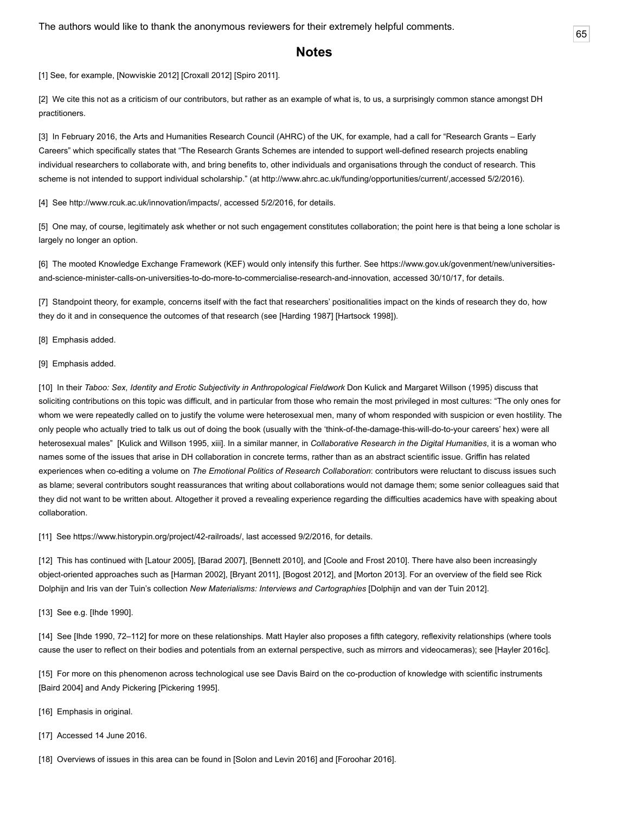<span id="page-17-18"></span>The authors would like to thank the anonymous reviewers for their extremely helpful comments.  $\boxed{65}$  $\boxed{65}$  $\boxed{65}$ 

#### **Notes**

<span id="page-17-0"></span>[1] See, for example, [[Nowviskie 2012](#page-21-0)] [[Croxall 2012\]](#page-18-4) [\[Spiro 2011](#page-21-17)].

<span id="page-17-1"></span>[2] We cite this not as a criticism of our contributors, but rather as an example of what is, to us, a surprisingly common stance amongst DH practitioners.

<span id="page-17-2"></span>[3] In February 2016, the Arts and Humanities Research Council (AHRC) of the UK, for example, had a call for "Research Grants – Early Careers" which specifically states that "The Research Grants Schemes are intended to support well-defined research projects enabling individual researchers to collaborate with, and bring benefits to, other individuals and organisations through the conduct of research. This scheme is not intended to support individual scholarship." (at [http://www.ahrc.ac.uk/funding/opportunities/current/,](http://www.ahrc.ac.uk/funding/opportunities/current/)accessed 5/2/2016).

<span id="page-17-3"></span>[4] See [http://www.rcuk.ac.uk/innovation/impacts/,](http://www.rcuk.ac.uk/innovation/impacts/) accessed 5/2/2016, for details.

<span id="page-17-4"></span>[5] One may, of course, legitimately ask whether or not such engagement constitutes collaboration; the point here is that being a lone scholar is largely no longer an option.

<span id="page-17-5"></span>[\[6\] The mooted Knowledge Exchange Framework \(KEF\) would only intensify this further. See https://www.gov.uk/govenment/new/universities](https://www.gov.uk/govenment/new/universities-and-science-minister-calls-on-universities-to-do-more-to-commercialise-research-and-innovation)and-science-minister-calls-on-universities-to-do-more-to-commercialise-research-and-innovation, accessed 30/10/17, for details.

<span id="page-17-6"></span>[7] Standpoint theory, for example, concerns itself with the fact that researchers' positionalities impact on the kinds of research they do, how they do it and in consequence the outcomes of that research (see [\[Harding 1987](#page-19-1)] [\[Hartsock 1998\]](#page-19-2)).

<span id="page-17-7"></span>[8] Emphasis added.

<span id="page-17-8"></span>[9] Emphasis added.

<span id="page-17-9"></span>[10] In their *Taboo: Sex, Identity and Erotic Subjectivity in Anthropological Fieldwork* Don Kulick and Margaret Willson (1995) discuss that soliciting contributions on this topic was difficult, and in particular from those who remain the most privileged in most cultures: "The only ones for whom we were repeatedly called on to justify the volume were heterosexual men, many of whom responded with suspicion or even hostility. The only people who actually tried to talk us out of doing the book (usually with the 'think-of-the-damage-this-will-do-to-your careers' hex) were all heterosexual males" [\[Kulick and Willson 1995](#page-20-17), xiii]. In a similar manner, in *Collaborative Research in the Digital Humanities*, it is a woman who names some of the issues that arise in DH collaboration in concrete terms, rather than as an abstract scientific issue. Griffin has related experiences when co-editing a volume on *The Emotional Politics of Research Collaboration*: contributors were reluctant to discuss issues such as blame; several contributors sought reassurances that writing about collaborations would not damage them; some senior colleagues said that they did not want to be written about. Altogether it proved a revealing experience regarding the difficulties academics have with speaking about collaboration.

<span id="page-17-10"></span>[11] See<https://www.historypin.org/project/42-railroads/>, last accessed 9/2/2016, for details.

<span id="page-17-11"></span>[12] This has continued with [[Latour 2005](#page-20-18)], [\[Barad 2007\]](#page-18-6), [\[Bennett 2010](#page-18-5)], and [\[Coole and Frost 2010](#page-18-7)]. There have also been increasingly object-oriented approaches such as [[Harman 2002](#page-19-18)], [\[Bryant 2011\]](#page-18-16), [[Bogost 2012\]](#page-18-17), and [\[Morton 2013](#page-21-18)]. For an overview of the field see Rick Dolphijn and Iris van der Tuin's collection *New Materialisms: Interviews and Cartographies* [[Dolphijn and van der Tuin 2012\]](#page-19-19).

<span id="page-17-12"></span>[13] See e.g. [[Ihde 1990](#page-20-19)].

<span id="page-17-13"></span>[14] See [\[Ihde 1990,](#page-20-19) 72–112] for more on these relationships. Matt Hayler also proposes a fifth category, reflexivity relationships (where tools cause the user to reflect on their bodies and potentials from an external perspective, such as mirrors and videocameras); see [\[Hayler 2016c](#page-20-20)].

<span id="page-17-14"></span>[15] For more on this phenomenon across technological use see Davis Baird on the co-production of knowledge with scientific instruments [[Baird 2004\]](#page-18-18) and Andy Pickering [\[Pickering 1995](#page-21-8)].

- <span id="page-17-15"></span>[16] Emphasis in original.
- <span id="page-17-16"></span>[17] Accessed 14 June 2016.

<span id="page-17-17"></span>[18] Overviews of issues in this area can be found in [\[Solon and Levin 2016\]](#page-21-19) and [\[Foroohar 2016](#page-19-20)].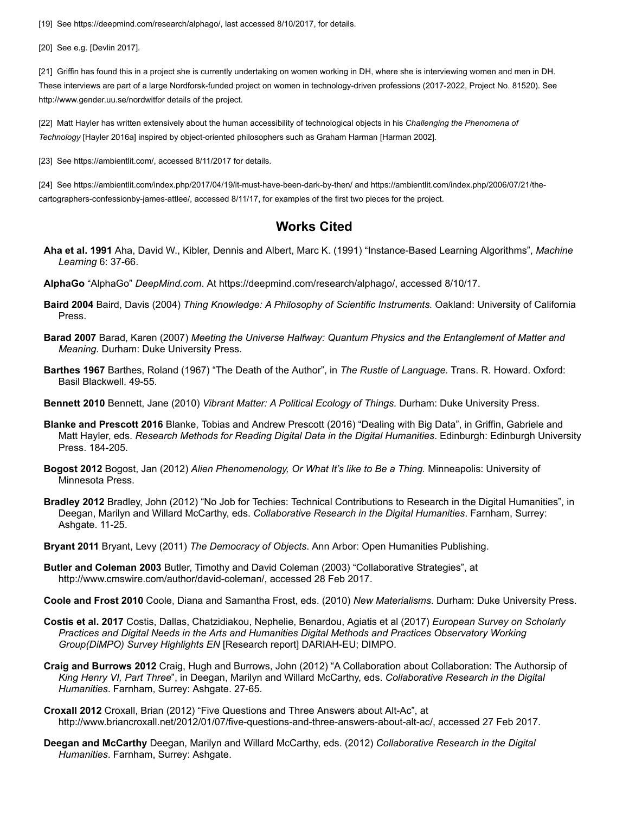<span id="page-18-8"></span>[19] See [https://deepmind.com/research/alphago/,](https://deepmind.com/research/alphago/) last accessed 8/10/2017, for details.

<span id="page-18-9"></span>[20] See e.g. [[Devlin 2017](#page-19-21)].

<span id="page-18-12"></span>[21] Griffin has found this in a project she is currently undertaking on women working in DH, where she is interviewing women and men in DH. These interviews are part of a large Nordforsk-funded project on women in technology-driven professions (2017-2022, Project No. 81520). See <http://www.gender.uu.se/nordwit>for details of the project.

<span id="page-18-13"></span>[22] Matt Hayler has written extensively about the human accessibility of technological objects in his *Challenging the Phenomena of Technology* [[Hayler 2016a](#page-19-10)] inspired by object-oriented philosophers such as Graham Harman [\[Harman 2002\]](#page-19-18).

<span id="page-18-14"></span>[23] See [https://ambientlit.com/,](https://ambientlit.com/) accessed 8/11/2017 for details.

<span id="page-18-15"></span>[24] See <https://ambientlit.com/index.php/2017/04/19/it-must-have-been-dark-by-then/> and https://ambientlit.com/index.php/2006/07/21/the[cartographers-confessionby-james-attlee/, accessed 8/11/17, for examples of the first two pieces for the project.](https://ambientlit.com/index.php/2006/07/21/the-cartographers-confessionby-james-attlee/)

#### **Works Cited**

- <span id="page-18-10"></span>**Aha et al. 1991** Aha, David W., Kibler, Dennis and Albert, Marc K. (1991) "Instance-Based Learning Algorithms", *Machine Learning* 6: 37-66.
- **AlphaGo** "AlphaGo" *DeepMind.com*. At [https://deepmind.com/research/alphago/,](https://deepmind.com/research/alphago/) accessed 8/10/17.
- <span id="page-18-18"></span>**Baird 2004** Baird, Davis (2004) *Thing Knowledge: A Philosophy of Scientific Instruments.* Oakland: University of California Press.
- <span id="page-18-6"></span>**Barad 2007** Barad, Karen (2007) *Meeting the Universe Halfway: Quantum Physics and the Entanglement of Matter and Meaning*. Durham: Duke University Press.
- <span id="page-18-11"></span>**Barthes 1967** Barthes, Roland (1967) "The Death of the Author", in *The Rustle of Language.* Trans. R. Howard. Oxford: Basil Blackwell. 49-55.
- <span id="page-18-5"></span>**Bennett 2010** Bennett, Jane (2010) *Vibrant Matter: A Political Ecology of Things.* Durham: Duke University Press.
- **Blanke and Prescott 2016** Blanke, Tobias and Andrew Prescott (2016) "Dealing with Big Data", in Griffin, Gabriele and Matt Hayler, eds. *Research Methods for Reading Digital Data in the Digital Humanities*. Edinburgh: Edinburgh University Press. 184-205.
- <span id="page-18-17"></span>**Bogost 2012** Bogost, Jan (2012) *Alien Phenomenology, Or What It's like to Be a Thing.* Minneapolis: University of Minnesota Press.
- <span id="page-18-3"></span>**Bradley 2012** Bradley, John (2012) "No Job for Techies: Technical Contributions to Research in the Digital Humanities", in Deegan, Marilyn and Willard McCarthy, eds. *Collaborative Research in the Digital Humanities*. Farnham, Surrey: Ashgate. 11-25.
- <span id="page-18-16"></span>**Bryant 2011** Bryant, Levy (2011) *The Democracy of Objects*. Ann Arbor: Open Humanities Publishing.
- <span id="page-18-2"></span>**Butler and Coleman 2003** Butler, Timothy and David Coleman (2003) "Collaborative Strategies", at [http://www.cmswire.com/author/david-coleman/,](http://www.cmswire.com/author/david-coleman/) accessed 28 Feb 2017.
- <span id="page-18-7"></span>**Coole and Frost 2010** Coole, Diana and Samantha Frost, eds. (2010) *New Materialisms*. Durham: Duke University Press.
- <span id="page-18-1"></span>**Costis et al. 2017** Costis, Dallas, Chatzidiakou, Nephelie, Benardou, Agiatis et al (2017) *European Survey on Scholarly Practices and Digital Needs in the Arts and Humanities Digital Methods and Practices Observatory Working Group(DiMPO) Survey Highlights EN* [Research report] DARIAH-EU; DIMPO.
- **Craig and Burrows 2012** Craig, Hugh and Burrows, John (2012) "A Collaboration about Collaboration: The Authorsip of *King Henry VI, Part Three*", in Deegan, Marilyn and Willard McCarthy, eds. *Collaborative Research in the Digital Humanities*. Farnham, Surrey: Ashgate. 27-65.
- <span id="page-18-4"></span>**Croxall 2012** Croxall, Brian (2012) "Five Questions and Three Answers about Alt-Ac", at <http://www.briancroxall.net/2012/01/07/five-questions-and-three-answers-about-alt-ac/>, accessed 27 Feb 2017.
- <span id="page-18-0"></span>**Deegan and McCarthy** Deegan, Marilyn and Willard McCarthy, eds. (2012) *Collaborative Research in the Digital Humanities*. Farnham, Surrey: Ashgate.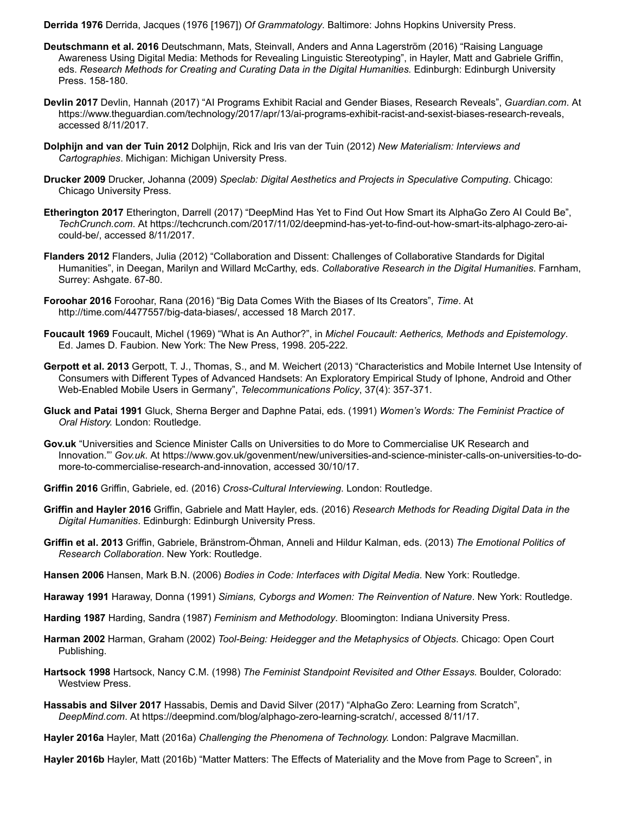<span id="page-19-16"></span>**Derrida 1976** Derrida, Jacques (1976 [1967]) *Of Grammatology*. Baltimore: Johns Hopkins University Press.

- <span id="page-19-5"></span>**Deutschmann et al. 2016** Deutschmann, Mats, Steinvall, Anders and Anna Lagerström (2016) "Raising Language Awareness Using Digital Media: Methods for Revealing Linguistic Stereotyping", in Hayler, Matt and Gabriele Griffin, eds. *Research Methods for Creating and Curating Data in the Digital Humanities.* Edinburgh: Edinburgh University Press. 158-180.
- <span id="page-19-21"></span>**Devlin 2017** Devlin, Hannah (2017) "AI Programs Exhibit Racial and Gender Biases, Research Reveals", *Guardian.com*. At [https://www.theguardian.com/technology/2017/apr/13/ai-programs-exhibit-racist-and-sexist-biases-research-reveals,](https://www.theguardian.com/technology/2017/apr/13/ai-programs-exhibit-racist-and-sexist-biases-research-reveals) accessed 8/11/2017.
- <span id="page-19-19"></span>**Dolphijn and van der Tuin 2012** Dolphijn, Rick and Iris van der Tuin (2012) *New Materialism: Interviews and Cartographies*. Michigan: Michigan University Press.
- <span id="page-19-8"></span>**Drucker 2009** Drucker, Johanna (2009) *Speclab: Digital Aesthetics and Projects in Speculative Computing*. Chicago: Chicago University Press.
- <span id="page-19-13"></span>**Etherington 2017** Etherington, Darrell (2017) "DeepMind Has Yet to Find Out How Smart its AlphaGo Zero AI Could Be", *TechCrunch.com*[. At https://techcrunch.com/2017/11/02/deepmind-has-yet-to-find-out-how-smart-its-alphago-zero-ai](https://techcrunch.com/2017/11/02/deepmind-has-yet-to-find-out-how-smart-its-alphago-zero-ai-could-be/)could-be/, accessed 8/11/2017.
- <span id="page-19-4"></span>**Flanders 2012** Flanders, Julia (2012) "Collaboration and Dissent: Challenges of Collaborative Standards for Digital Humanities", in Deegan, Marilyn and Willard McCarthy, eds. *Collaborative Research in the Digital Humanities*. Farnham, Surrey: Ashgate. 67-80.
- <span id="page-19-20"></span>**Foroohar 2016** Foroohar, Rana (2016) "Big Data Comes With the Biases of Its Creators", *Time*. At [http://time.com/4477557/big-data-biases/,](http://time.com/4477557/big-data-biases/) accessed 18 March 2017.
- <span id="page-19-15"></span>**Foucault 1969** Foucault, Michel (1969) "What is An Author?", in *Michel Foucault: Aetherics, Methods and Epistemology*. Ed. James D. Faubion. New York: The New Press, 1998. 205-222.
- <span id="page-19-14"></span>**Gerpott et al. 2013** Gerpott, T. J., Thomas, S., and M. Weichert (2013) "Characteristics and Mobile Internet Use Intensity of Consumers with Different Types of Advanced Handsets: An Exploratory Empirical Study of Iphone, Android and Other Web-Enabled Mobile Users in Germany", *Telecommunications Policy*, 37(4): 357-371.
- <span id="page-19-3"></span>**Gluck and Patai 1991** Gluck, Sherna Berger and Daphne Patai, eds. (1991) *Women's Words: The Feminist Practice of Oral History.* London: Routledge.
- **Gov.uk** "Universities and Science Minister Calls on Universities to do More to Commercialise UK Research and Innovation."' *Gov.uk*[. At https://www.gov.uk/govenment/new/universities-and-science-minister-calls-on-universities-to-do](https://www.gov.uk/govenment/new/universities-and-science-minister-calls-on-universities-to-do-more-to-commercialise-research-and-innovation)more-to-commercialise-research-and-innovation, accessed 30/10/17.
- <span id="page-19-17"></span>**Griffin 2016** Griffin, Gabriele, ed. (2016) *Cross-Cultural Interviewing*. London: Routledge.
- <span id="page-19-0"></span>**Griffin and Hayler 2016** Griffin, Gabriele and Matt Hayler, eds. (2016) *Research Methods for Reading Digital Data in the Digital Humanities*. Edinburgh: Edinburgh University Press.
- <span id="page-19-6"></span>**Griffin et al. 2013** Griffin, Gabriele, Bränstrom-Öhman, Anneli and Hildur Kalman, eds. (2013) *The Emotional Politics of Research Collaboration*. New York: Routledge.
- <span id="page-19-9"></span>**Hansen 2006** Hansen, Mark B.N. (2006) *Bodies in Code: Interfaces with Digital Media.* New York: Routledge.
- <span id="page-19-7"></span>**Haraway 1991** Haraway, Donna (1991) *Simians, Cyborgs and Women: The Reinvention of Nature*. New York: Routledge.
- <span id="page-19-1"></span>**Harding 1987** Harding, Sandra (1987) *Feminism and Methodology*. Bloomington: Indiana University Press.
- <span id="page-19-18"></span>**Harman 2002** Harman, Graham (2002) *Tool-Being: Heidegger and the Metaphysics of Objects*. Chicago: Open Court Publishing.
- <span id="page-19-2"></span>**Hartsock 1998** Hartsock, Nancy C.M. (1998) *The Feminist Standpoint Revisited and Other Essays.* Boulder, Colorado: Westview Press.
- <span id="page-19-12"></span>**Hassabis and Silver 2017** Hassabis, Demis and David Silver (2017) "AlphaGo Zero: Learning from Scratch", *DeepMind.com*. At <https://deepmind.com/blog/alphago-zero-learning-scratch/>, accessed 8/11/17.
- <span id="page-19-10"></span>**Hayler 2016a** Hayler, Matt (2016a) *Challenging the Phenomena of Technology.* London: Palgrave Macmillan.

<span id="page-19-11"></span>**Hayler 2016b** Hayler, Matt (2016b) "Matter Matters: The Effects of Materiality and the Move from Page to Screen", in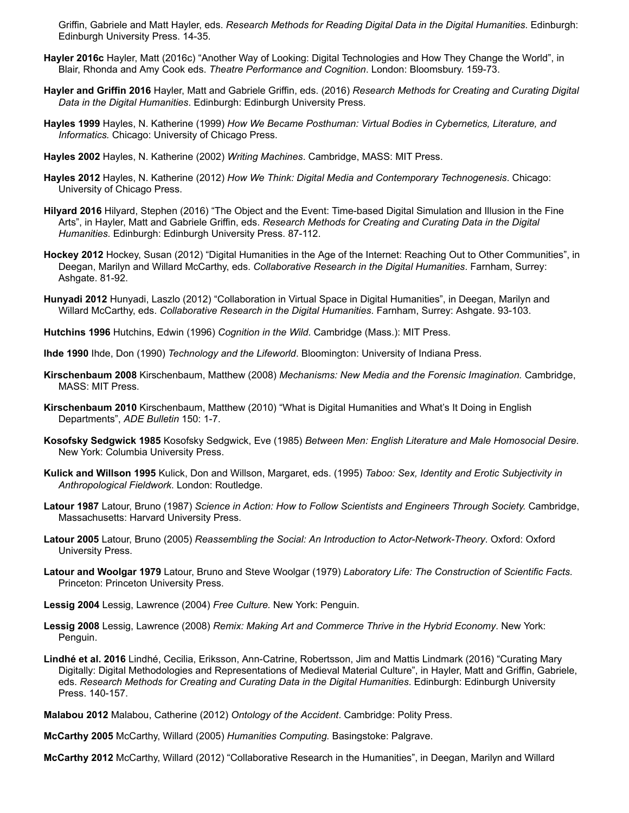Griffin, Gabriele and Matt Hayler, eds. *Research Methods for Reading Digital Data in the Digital Humanities*. Edinburgh: Edinburgh University Press. 14-35.

- <span id="page-20-20"></span>**Hayler 2016c** Hayler, Matt (2016c) "Another Way of Looking: Digital Technologies and How They Change the World", in Blair, Rhonda and Amy Cook eds. *Theatre Performance and Cognition*. London: Bloomsbury. 159-73.
- <span id="page-20-0"></span>**Hayler and Griffin 2016** Hayler, Matt and Gabriele Griffin, eds. (2016) *Research Methods for Creating and Curating Digital Data in the Digital Humanities*. Edinburgh: Edinburgh University Press.
- <span id="page-20-11"></span>**Hayles 1999** Hayles, N. Katherine (1999) *How We Became Posthuman: Virtual Bodies in Cybernetics, Literature, and Informatics.* Chicago: University of Chicago Press.
- <span id="page-20-6"></span>**Hayles 2002** Hayles, N. Katherine (2002) *Writing Machines*. Cambridge, MASS: MIT Press.
- <span id="page-20-7"></span>**Hayles 2012** Hayles, N. Katherine (2012) *How We Think: Digital Media and Contemporary Technogenesis*. Chicago: University of Chicago Press.
- <span id="page-20-9"></span>**Hilyard 2016** Hilyard, Stephen (2016) "The Object and the Event: Time-based Digital Simulation and Illusion in the Fine Arts", in Hayler, Matt and Gabriele Griffin, eds. *Research Methods for Creating and Curating Data in the Digital Humanities.* Edinburgh: Edinburgh University Press. 87-112.
- <span id="page-20-3"></span>**Hockey 2012** Hockey, Susan (2012) "Digital Humanities in the Age of the Internet: Reaching Out to Other Communities", in Deegan, Marilyn and Willard McCarthy, eds. *Collaborative Research in the Digital Humanities*. Farnham, Surrey: Ashgate. 81-92.
- <span id="page-20-12"></span>**Hunyadi 2012** Hunyadi, Laszlo (2012) "Collaboration in Virtual Space in Digital Humanities", in Deegan, Marilyn and Willard McCarthy, eds. *Collaborative Research in the Digital Humanities*. Farnham, Surrey: Ashgate. 93-103.
- <span id="page-20-10"></span>**Hutchins 1996** Hutchins, Edwin (1996) *Cognition in the Wild*. Cambridge (Mass.): MIT Press.
- <span id="page-20-19"></span>**Ihde 1990** Ihde, Don (1990) *Technology and the Lifeworld*. Bloomington: University of Indiana Press.
- <span id="page-20-8"></span>**Kirschenbaum 2008** Kirschenbaum, Matthew (2008) *Mechanisms: New Media and the Forensic Imagination.* Cambridge, MASS: MIT Press.
- <span id="page-20-14"></span>**Kirschenbaum 2010** Kirschenbaum, Matthew (2010) "What is Digital Humanities and What's It Doing in English Departments", *ADE Bulletin* 150: 1-7.
- <span id="page-20-13"></span>**Kosofsky Sedgwick 1985** Kosofsky Sedgwick, Eve (1985) *Between Men: English Literature and Male Homosocial Desire.* New York: Columbia University Press.
- <span id="page-20-17"></span>**Kulick and Willson 1995** Kulick, Don and Willson, Margaret, eds. (1995) *Taboo: Sex, Identity and Erotic Subjectivity in Anthropological Fieldwork*. London: Routledge.
- <span id="page-20-5"></span>**Latour 1987** Latour, Bruno (1987) *Science in Action: How to Follow Scientists and Engineers Through Society.* Cambridge, Massachusetts: Harvard University Press.
- <span id="page-20-18"></span>**Latour 2005** Latour, Bruno (2005) *Reassembling the Social: An Introduction to Actor-Network-Theory*. Oxford: Oxford University Press.
- <span id="page-20-4"></span>**Latour and Woolgar 1979** Latour, Bruno and Steve Woolgar (1979) *Laboratory Life: The Construction of Scientific Facts.* Princeton: Princeton University Press.
- <span id="page-20-15"></span>**Lessig 2004** Lessig, Lawrence (2004) *Free Culture.* New York: Penguin.
- <span id="page-20-16"></span>**Lessig 2008** Lessig, Lawrence (2008) *Remix: Making Art and Commerce Thrive in the Hybrid Economy*. New York: Penguin.
- **Lindhé et al. 2016** Lindhé, Cecilia, Eriksson, Ann-Catrine, Robertsson, Jim and Mattis Lindmark (2016) "Curating Mary Digitally: Digital Methodologies and Representations of Medieval Material Culture", in Hayler, Matt and Griffin, Gabriele, eds. *Research Methods for Creating and Curating Data in the Digital Humanities*. Edinburgh: Edinburgh University Press. 140-157.
- **Malabou 2012** Malabou, Catherine (2012) *Ontology of the Accident*. Cambridge: Polity Press.
- <span id="page-20-1"></span>**McCarthy 2005** McCarthy, Willard (2005) *Humanities Computing.* Basingstoke: Palgrave.

<span id="page-20-2"></span>**McCarthy 2012** McCarthy, Willard (2012) "Collaborative Research in the Humanities", in Deegan, Marilyn and Willard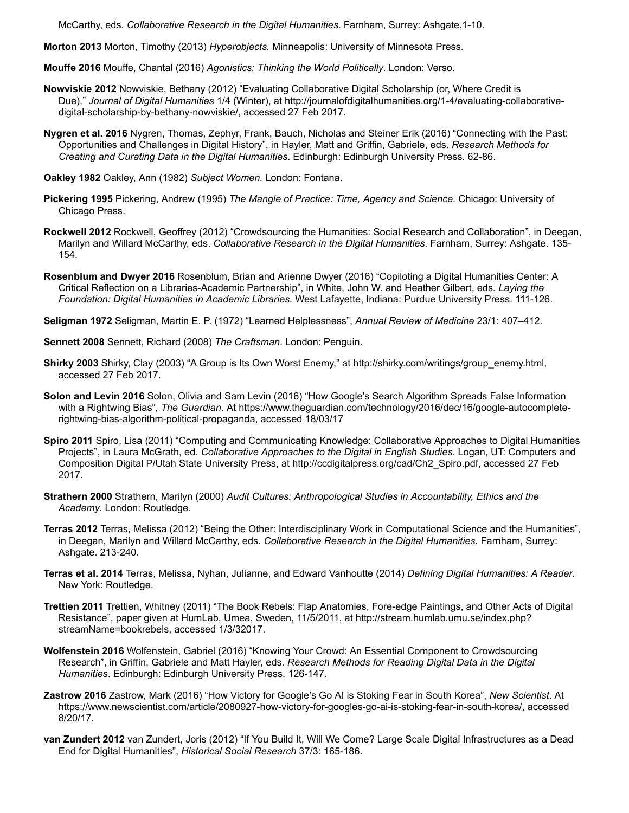McCarthy, eds. *Collaborative Research in the Digital Humanities*. Farnham, Surrey: Ashgate.1-10.

<span id="page-21-18"></span>**Morton 2013** Morton, Timothy (2013) *Hyperobjects.* Minneapolis: University of Minnesota Press.

<span id="page-21-5"></span>**Mouffe 2016** Mouffe, Chantal (2016) *Agonistics: Thinking the World Politically*. London: Verso.

- <span id="page-21-0"></span>**Nowviskie 2012** Nowviskie, Bethany (2012) "Evaluating Collaborative Digital Scholarship (or, Where Credit is Due)," *Journal of Digital Humanities* [1/4 \(Winter\), at http://journalofdigitalhumanities.org/1-4/evaluating-collaborative](http://journalofdigitalhumanities.org/1-4/evaluating-collaborative-digital-scholarship-by-bethany-nowviskie/)digital-scholarship-by-bethany-nowviskie/, accessed 27 Feb 2017.
- <span id="page-21-9"></span>**Nygren et al. 2016** Nygren, Thomas, Zephyr, Frank, Bauch, Nicholas and Steiner Erik (2016) "Connecting with the Past: Opportunities and Challenges in Digital History", in Hayler, Matt and Griffin, Gabriele, eds. *Research Methods for Creating and Curating Data in the Digital Humanities*. Edinburgh: Edinburgh University Press. 62-86.

<span id="page-21-4"></span>**Oakley 1982** Oakley, Ann (1982) *Subject Women.* London: Fontana.

- <span id="page-21-8"></span>**Pickering 1995** Pickering, Andrew (1995) *The Mangle of Practice: Time, Agency and Science.* Chicago: University of Chicago Press.
- <span id="page-21-1"></span>**Rockwell 2012** Rockwell, Geoffrey (2012) "Crowdsourcing the Humanities: Social Research and Collaboration", in Deegan, Marilyn and Willard McCarthy, eds. *Collaborative Research in the Digital Humanities*. Farnham, Surrey: Ashgate. 135- 154.
- <span id="page-21-6"></span>**Rosenblum and Dwyer 2016** Rosenblum, Brian and Arienne Dwyer (2016) "Copiloting a Digital Humanities Center: A Critical Reflection on a Libraries-Academic Partnership", in White, John W. and Heather Gilbert, eds. *Laying the Foundation: Digital Humanities in Academic Libraries.* West Lafayette, Indiana: Purdue University Press. 111-126.

<span id="page-21-15"></span>**Seligman 1972** Seligman, Martin E. P. (1972) "Learned Helplessness", *Annual Review of Medicine* 23/1: 407–412.

<span id="page-21-12"></span>**Sennett 2008** Sennett, Richard (2008) *The Craftsman*. London: Penguin.

- <span id="page-21-2"></span>**Shirky 2003** Shirky, Clay (2003) "A Group is Its Own Worst Enemy," at [http://shirky.com/writings/group\\_enemy.html,](http://shirky.com/writings/group_enemy.html) accessed 27 Feb 2017.
- <span id="page-21-19"></span>**Solon and Levin 2016** Solon, Olivia and Sam Levin (2016) "How Google's Search Algorithm Spreads False Information with a Rightwing Bias", *The Guardian*[. At https://www.theguardian.com/technology/2016/dec/16/google-autocomplete](https://www.theguardian.com/technology/2016/dec/16/google-autocomplete-rightwing-bias-algorithm-political-propaganda)rightwing-bias-algorithm-political-propaganda, accessed 18/03/17
- <span id="page-21-17"></span>**Spiro 2011** Spiro, Lisa (2011) "Computing and Communicating Knowledge: Collaborative Approaches to Digital Humanities Projects", in Laura McGrath, ed. *Collaborative Approaches to the Digital in English Studies*. Logan, UT: Computers and Composition Digital P/Utah State University Press, at [http://ccdigitalpress.org/cad/Ch2\\_Spiro.pdf,](http://ccdigitalpress.org/cad/Ch2_Spiro.pdf) accessed 27 Feb 2017.
- <span id="page-21-14"></span>**Strathern 2000** Strathern, Marilyn (2000) *Audit Cultures: Anthropological Studies in Accountability, Ethics and the Academy*. London: Routledge.
- <span id="page-21-3"></span>**Terras 2012** Terras, Melissa (2012) "Being the Other: Interdisciplinary Work in Computational Science and the Humanities", in Deegan, Marilyn and Willard McCarthy, eds. *Collaborative Research in the Digital Humanities*. Farnham, Surrey: Ashgate. 213-240.
- <span id="page-21-13"></span>**Terras et al. 2014** Terras, Melissa, Nyhan, Julianne, and Edward Vanhoutte (2014) *Defining Digital Humanities: A Reader*. New York: Routledge.
- <span id="page-21-11"></span>**Trettien 2011** Trettien, Whitney (2011) "The Book Rebels: Flap Anatomies, Fore-edge Paintings, and Other Acts of Digital [Resistance", paper given at HumLab, Umea, Sweden, 11/5/2011, at http://stream.humlab.umu.se/index.php?](http://stream.humlab.umu.se/index.php?streamName=bookrebels) streamName=bookrebels, accessed 1/3/32017.
- <span id="page-21-7"></span>**Wolfenstein 2016** Wolfenstein, Gabriel (2016) "Knowing Your Crowd: An Essential Component to Crowdsourcing Research", in Griffin, Gabriele and Matt Hayler, eds. *Research Methods for Reading Digital Data in the Digital Humanities*. Edinburgh: Edinburgh University Press. 126-147.
- <span id="page-21-10"></span>**Zastrow 2016** Zastrow, Mark (2016) "How Victory for Google's Go AI is Stoking Fear in South Korea", *New Scientist*. At <https://www.newscientist.com/article/2080927-how-victory-for-googles-go-ai-is-stoking-fear-in-south-korea/>, accessed 8/20/17.
- <span id="page-21-16"></span>**van Zundert 2012** van Zundert, Joris (2012) "If You Build It, Will We Come? Large Scale Digital Infrastructures as a Dead End for Digital Humanities", *Historical Social Research* 37/3: 165-186.